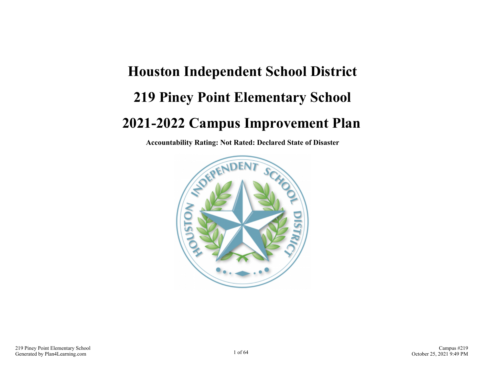# **Houston Independent School District 219 Piney Point Elementary School 2021-2022 Campus Improvement Plan**

**Accountability Rating: Not Rated: Declared State of Disaster**

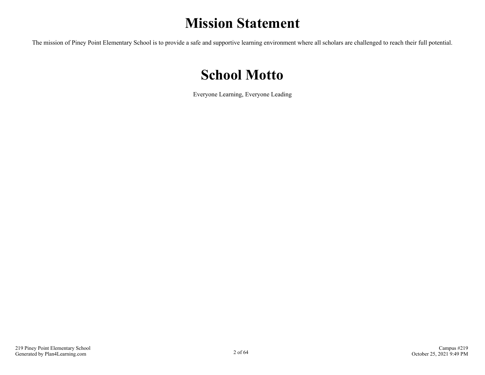## **Mission Statement**

The mission of Piney Point Elementary School is to provide a safe and supportive learning environment where all scholars are challenged to reach their full potential.

## **School Motto**

Everyone Learning, Everyone Leading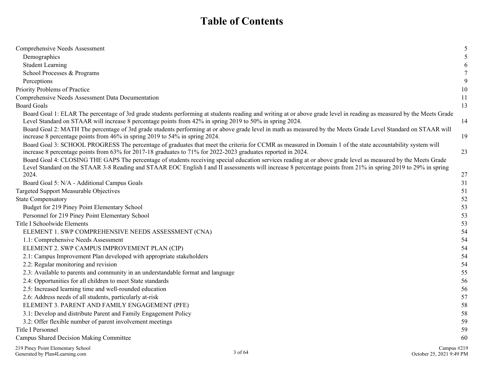## **Table of Contents**

| Comprehensive Needs Assessment                                                                                                                                                                                                                                            | 5             |
|---------------------------------------------------------------------------------------------------------------------------------------------------------------------------------------------------------------------------------------------------------------------------|---------------|
| Demographics                                                                                                                                                                                                                                                              | 5             |
| <b>Student Learning</b>                                                                                                                                                                                                                                                   | 6             |
| School Processes & Programs                                                                                                                                                                                                                                               | $\tau$        |
| Perceptions                                                                                                                                                                                                                                                               | 9             |
| Priority Problems of Practice                                                                                                                                                                                                                                             | 10            |
| Comprehensive Needs Assessment Data Documentation                                                                                                                                                                                                                         | 11            |
| <b>Board Goals</b>                                                                                                                                                                                                                                                        | 13            |
| Board Goal 1: ELAR The percentage of 3rd grade students performing at students reading and writing at or above grade level in reading as measured by the Meets Grade                                                                                                      |               |
| Level Standard on STAAR will increase 8 percentage points from 42% in spring 2019 to 50% in spring 2024.                                                                                                                                                                  | 14            |
| Board Goal 2: MATH The percentage of 3rd grade students performing at or above grade level in math as measured by the Meets Grade Level Standard on STAAR will                                                                                                            |               |
| increase 8 percentage points from 46% in spring 2019 to 54% in spring 2024.                                                                                                                                                                                               | 19            |
| Board Goal 3: SCHOOL PROGRESS The percentage of graduates that meet the criteria for CCMR as measured in Domain 1 of the state accountability system will<br>increase 8 percentage points from 63% for 2017-18 graduates to 71% for 2022-2023 graduates reported in 2024. | 23            |
| Board Goal 4: CLOSING THE GAPS The percentage of students receiving special education services reading at or above grade level as measured by the Meets Grade                                                                                                             |               |
| Level Standard on the STAAR 3-8 Reading and STAAR EOC English I and II assessments will increase 8 percentage points from 21% in spring 2019 to 29% in spring                                                                                                             |               |
| 2024.                                                                                                                                                                                                                                                                     | 27            |
| Board Goal 5: N/A - Additional Campus Goals                                                                                                                                                                                                                               | 31            |
| Targeted Support Measurable Objectives                                                                                                                                                                                                                                    | 51            |
| <b>State Compensatory</b>                                                                                                                                                                                                                                                 | 52            |
| Budget for 219 Piney Point Elementary School                                                                                                                                                                                                                              | 53            |
| Personnel for 219 Piney Point Elementary School                                                                                                                                                                                                                           | 53            |
| Title I Schoolwide Elements                                                                                                                                                                                                                                               | 53            |
| ELEMENT 1. SWP COMPREHENSIVE NEEDS ASSESSMENT (CNA)                                                                                                                                                                                                                       | 54            |
| 1.1: Comprehensive Needs Assessment                                                                                                                                                                                                                                       | 54            |
| ELEMENT 2. SWP CAMPUS IMPROVEMENT PLAN (CIP)                                                                                                                                                                                                                              | 54            |
| 2.1: Campus Improvement Plan developed with appropriate stakeholders                                                                                                                                                                                                      | 54            |
| 2.2: Regular monitoring and revision                                                                                                                                                                                                                                      | 54            |
| 2.3: Available to parents and community in an understandable format and language                                                                                                                                                                                          | 55            |
| 2.4: Opportunities for all children to meet State standards                                                                                                                                                                                                               | 56            |
| 2.5: Increased learning time and well-rounded education                                                                                                                                                                                                                   | 56            |
| 2.6: Address needs of all students, particularly at-risk                                                                                                                                                                                                                  | 57            |
| ELEMENT 3. PARENT AND FAMILY ENGAGEMENT (PFE)                                                                                                                                                                                                                             | 58            |
| 3.1: Develop and distribute Parent and Family Engagement Policy                                                                                                                                                                                                           | 58            |
| 3.2: Offer flexible number of parent involvement meetings                                                                                                                                                                                                                 | 59            |
| Title I Personnel                                                                                                                                                                                                                                                         | 59            |
| Campus Shared Decision Making Committee                                                                                                                                                                                                                                   | 60            |
| 219 Piney Point Elementary School                                                                                                                                                                                                                                         | Campus $#219$ |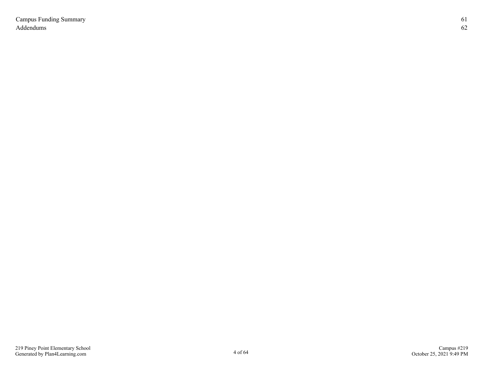Campus Funding Summary 61 Addendums 62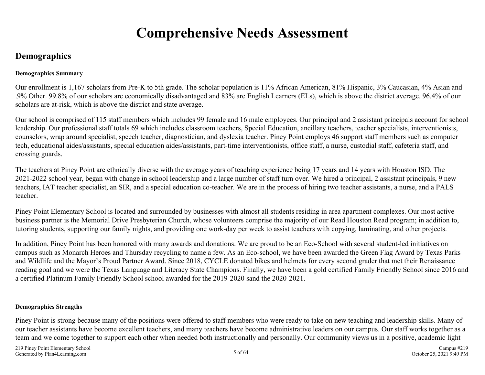## **Comprehensive Needs Assessment**

### **Demographics**

#### **Demographics Summary**

Our enrollment is 1,167 scholars from Pre-K to 5th grade. The scholar population is 11% African American, 81% Hispanic, 3% Caucasian, 4% Asian and .9% Other. 99.8% of our scholars are economically disadvantaged and 83% are English Learners (ELs), which is above the district average. 96.4% of our scholars are at-risk, which is above the district and state average.

Our school is comprised of 115 staff members which includes 99 female and 16 male employees. Our principal and 2 assistant principals account for school leadership. Our professional staff totals 69 which includes classroom teachers, Special Education, ancillary teachers, teacher specialists, interventionists, counselors, wrap around specialist, speech teacher, diagnostician, and dyslexia teacher. Piney Point employs 46 support staff members such as computer tech, educational aides/assistants, special education aides/assistants, part-time interventionists, office staff, a nurse, custodial staff, cafeteria staff, and crossing guards.

The teachers at Piney Point are ethnically diverse with the average years of teaching experience being 17 years and 14 years with Houston ISD. The 2021-2022 school year, began with change in school leadership and a large number of staff turn over. We hired a principal, 2 assistant principals, 9 new teachers, IAT teacher specialist, an SIR, and a special education co-teacher. We are in the process of hiring two teacher assistants, a nurse, and a PALS teacher.

Piney Point Elementary School is located and surrounded by businesses with almost all students residing in area apartment complexes. Our most active business partner is the Memorial Drive Presbyterian Church, whose volunteers comprise the majority of our Read Houston Read program; in addition to, tutoring students, supporting our family nights, and providing one work-day per week to assist teachers with copying, laminating, and other projects.

In addition, Piney Point has been honored with many awards and donations. We are proud to be an Eco-School with several student-led initiatives on campus such as Monarch Heroes and Thursday recycling to name a few. As an Eco-school, we have been awarded the Green Flag Award by Texas Parks and Wildlife and the Mayor's Proud Partner Award. Since 2018, CYCLE donated bikes and helmets for every second grader that met their Renaissance reading goal and we were the Texas Language and Literacy State Champions. Finally, we have been a gold certified Family Friendly School since 2016 and a certified Platinum Family Friendly School school awarded for the 2019-2020 sand the 2020-2021.

#### **Demographics Strengths**

Piney Point is strong because many of the positions were offered to staff members who were ready to take on new teaching and leadership skills. Many of our teacher assistants have become excellent teachers, and many teachers have become administrative leaders on our campus. Our staff works together as a team and we come together to support each other when needed both instructionally and personally. Our community views us in a positive, academic light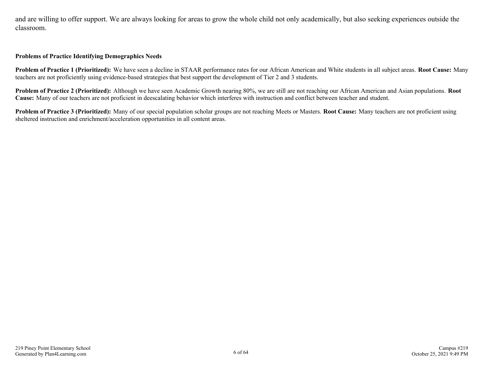and are willing to offer support. We are always looking for areas to grow the whole child not only academically, but also seeking experiences outside the classroom.

#### **Problems of Practice Identifying Demographics Needs**

**Problem of Practice 1 (Prioritized):** We have seen a decline in STAAR performance rates for our African American and White students in all subject areas. **Root Cause:** Many teachers are not proficiently using evidence-based strategies that best support the development of Tier 2 and 3 students.

**Problem of Practice 2 (Prioritized):** Although we have seen Academic Growth nearing 80%, we are still are not reaching our African American and Asian populations. **Root Cause:** Many of our teachers are not proficient in deescalating behavior which interferes with instruction and conflict between teacher and student.

**Problem of Practice 3 (Prioritized):** Many of our special population scholar groups are not reaching Meets or Masters. **Root Cause:** Many teachers are not proficient using sheltered instruction and enrichment/acceleration opportunities in all content areas.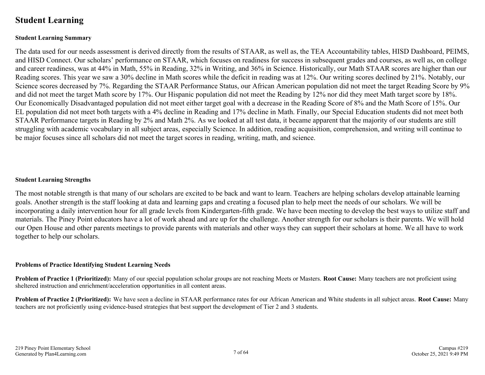### **Student Learning**

#### **Student Learning Summary**

The data used for our needs assessment is derived directly from the results of STAAR, as well as, the TEA Accountability tables, HISD Dashboard, PEIMS, and HISD Connect. Our scholars' performance on STAAR, which focuses on readiness for success in subsequent grades and courses, as well as, on college and career readiness, was at 44% in Math, 55% in Reading, 32% in Writing, and 36% in Science. Historically, our Math STAAR scores are higher than our Reading scores. This year we saw a 30% decline in Math scores while the deficit in reading was at 12%. Our writing scores declined by 21%. Notably, our Science scores decreased by 7%. Regarding the STAAR Performance Status, our African American population did not meet the target Reading Score by 9% and did not meet the target Math score by 17%. Our Hispanic population did not meet the Reading by 12% nor did they meet Math target score by 18%. Our Economically Disadvantaged population did not meet either target goal with a decrease in the Reading Score of 8% and the Math Score of 15%. Our EL population did not meet both targets with a 4% decline in Reading and 17% decline in Math. Finally, our Special Education students did not meet both STAAR Performance targets in Reading by 2% and Math 2%. As we looked at all test data, it became apparent that the majority of our students are still struggling with academic vocabulary in all subject areas, especially Science. In addition, reading acquisition, comprehension, and writing will continue to be major focuses since all scholars did not meet the target scores in reading, writing, math, and science.

#### **Student Learning Strengths**

The most notable strength is that many of our scholars are excited to be back and want to learn. Teachers are helping scholars develop attainable learning goals. Another strength is the staff looking at data and learning gaps and creating a focused plan to help meet the needs of our scholars. We will be incorporating a daily intervention hour for all grade levels from Kindergarten-fifth grade. We have been meeting to develop the best ways to utilize staff and materials. The Piney Point educators have a lot of work ahead and are up for the challenge. Another strength for our scholars is their parents. We will hold our Open House and other parents meetings to provide parents with materials and other ways they can support their scholars at home. We all have to work together to help our scholars.

#### **Problems of Practice Identifying Student Learning Needs**

**Problem of Practice 1 (Prioritized):** Many of our special population scholar groups are not reaching Meets or Masters. **Root Cause:** Many teachers are not proficient using sheltered instruction and enrichment/acceleration opportunities in all content areas.

**Problem of Practice 2 (Prioritized):** We have seen a decline in STAAR performance rates for our African American and White students in all subject areas. **Root Cause:** Many teachers are not proficiently using evidence-based strategies that best support the development of Tier 2 and 3 students.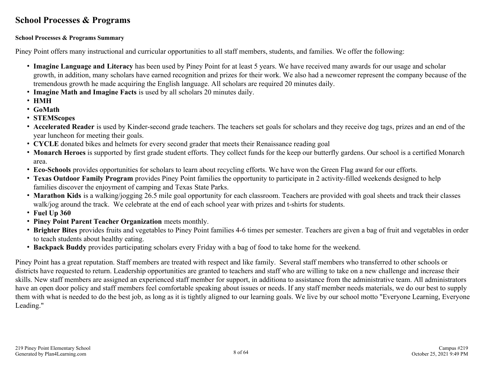### **School Processes & Programs**

#### **School Processes & Programs Summary**

Piney Point offers many instructional and curricular opportunities to all staff members, students, and families. We offer the following:

- **Imagine Language and Literacy** has been used by Piney Point for at least 5 years. We have received many awards for our usage and scholar growth, in addition, many scholars have earned recognition and prizes for their work. We also had a newcomer represent the company because of the tremendous growth he made acquiring the English language. All scholars are required 20 minutes daily.
- **Imagine Math and Imagine Facts** is used by all scholars 20 minutes daily.
- **HMH**
- **GoMath**
- **STEMScopes**
- **Accelerated Reader** is used by Kinder-second grade teachers. The teachers set goals for scholars and they receive dog tags, prizes and an end of the year luncheon for meeting their goals.
- **CYCLE** donated bikes and helmets for every second grader that meets their Renaissance reading goal
- **Monarch Heroes** is supported by first grade student efforts. They collect funds for the keep our butterfly gardens. Our school is a certified Monarch area.
- **Eco-Schools** provides opportunities for scholars to learn about recycling efforts. We have won the Green Flag award for our efforts.
- **Texas Outdoor Family Program** provides Piney Point families the opportunity to participate in 2 activity-filled weekends designed to help families discover the enjoyment of camping and Texas State Parks.
- **Marathon Kids** is a walking/jogging 26.5 mile goal opportunity for each classroom. Teachers are provided with goal sheets and track their classes walk/jog around the track. We celebrate at the end of each school year with prizes and t-shirts for students.
- **Fuel Up 360**
- **Piney Point Parent Teacher Organization** meets monthly.
- **Brighter Bites** provides fruits and vegetables to Piney Point families 4-6 times per semester. Teachers are given a bag of fruit and vegetables in order to teach students about healthy eating.
- **Backpack Buddy** provides participating scholars every Friday with a bag of food to take home for the weekend.

Piney Point has a great reputation. Staff members are treated with respect and like family. Several staff members who transferred to other schools or districts have requested to return. Leadership opportunities are granted to teachers and staff who are willing to take on a new challenge and increase their skills. New staff members are assigned an experienced staff member for support, in additiona to assistance from the administrative team. All administrators have an open door policy and staff members feel comfortable speaking about issues or needs. If any staff member needs materials, we do our best to supply them with what is needed to do the best job, as long as it is tightly aligned to our learning goals. We live by our school motto "Everyone Learning, Everyone Leading."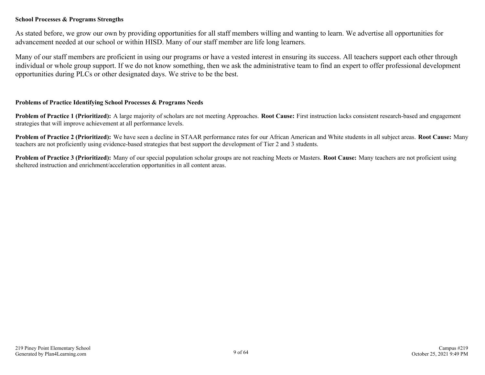#### **School Processes & Programs Strengths**

As stated before, we grow our own by providing opportunities for all staff members willing and wanting to learn. We advertise all opportunities for advancement needed at our school or within HISD. Many of our staff member are life long learners.

Many of our staff members are proficient in using our programs or have a vested interest in ensuring its success. All teachers support each other through individual or whole group support. If we do not know something, then we ask the administrative team to find an expert to offer professional development opportunities during PLCs or other designated days. We strive to be the best.

#### **Problems of Practice Identifying School Processes & Programs Needs**

**Problem of Practice 1 (Prioritized):** A large majority of scholars are not meeting Approaches. **Root Cause:** First instruction lacks consistent research-based and engagement strategies that will improve achievement at all performance levels.

**Problem of Practice 2 (Prioritized):** We have seen a decline in STAAR performance rates for our African American and White students in all subject areas. **Root Cause:** Many teachers are not proficiently using evidence-based strategies that best support the development of Tier 2 and 3 students.

**Problem of Practice 3 (Prioritized):** Many of our special population scholar groups are not reaching Meets or Masters. **Root Cause:** Many teachers are not proficient using sheltered instruction and enrichment/acceleration opportunities in all content areas.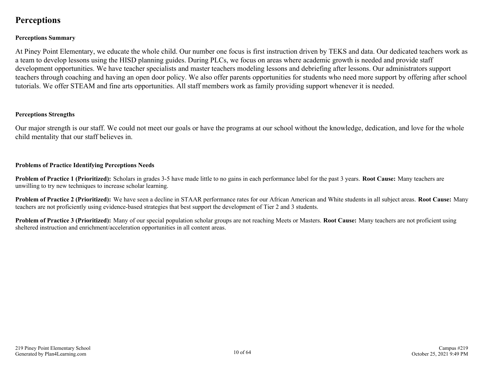### **Perceptions**

#### **Perceptions Summary**

At Piney Point Elementary, we educate the whole child. Our number one focus is first instruction driven by TEKS and data. Our dedicated teachers work as a team to develop lessons using the HISD planning guides. During PLCs, we focus on areas where academic growth is needed and provide staff development opportunities. We have teacher specialists and master teachers modeling lessons and debriefing after lessons. Our administrators support teachers through coaching and having an open door policy. We also offer parents opportunities for students who need more support by offering after school tutorials. We offer STEAM and fine arts opportunities. All staff members work as family providing support whenever it is needed.

#### **Perceptions Strengths**

Our major strength is our staff. We could not meet our goals or have the programs at our school without the knowledge, dedication, and love for the whole child mentality that our staff believes in.

#### **Problems of Practice Identifying Perceptions Needs**

**Problem of Practice 1 (Prioritized):** Scholars in grades 3-5 have made little to no gains in each performance label for the past 3 years. **Root Cause:** Many teachers are unwilling to try new techniques to increase scholar learning.

**Problem of Practice 2 (Prioritized):** We have seen a decline in STAAR performance rates for our African American and White students in all subject areas. **Root Cause:** Many teachers are not proficiently using evidence-based strategies that best support the development of Tier 2 and 3 students.

**Problem of Practice 3 (Prioritized):** Many of our special population scholar groups are not reaching Meets or Masters. **Root Cause:** Many teachers are not proficient using sheltered instruction and enrichment/acceleration opportunities in all content areas.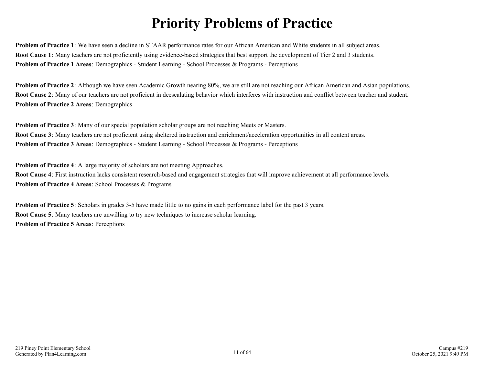## **Priority Problems of Practice**

**Problem of Practice 1**: We have seen a decline in STAAR performance rates for our African American and White students in all subject areas. **Root Cause 1**: Many teachers are not proficiently using evidence-based strategies that best support the development of Tier 2 and 3 students. **Problem of Practice 1 Areas**: Demographics - Student Learning - School Processes & Programs - Perceptions

**Problem of Practice 2**: Although we have seen Academic Growth nearing 80%, we are still are not reaching our African American and Asian populations. **Root Cause 2**: Many of our teachers are not proficient in deescalating behavior which interferes with instruction and conflict between teacher and student. **Problem of Practice 2 Areas**: Demographics

**Problem of Practice 3**: Many of our special population scholar groups are not reaching Meets or Masters. **Root Cause 3**: Many teachers are not proficient using sheltered instruction and enrichment/acceleration opportunities in all content areas. **Problem of Practice 3 Areas**: Demographics - Student Learning - School Processes & Programs - Perceptions

**Problem of Practice 4**: A large majority of scholars are not meeting Approaches.

**Root Cause 4**: First instruction lacks consistent research-based and engagement strategies that will improve achievement at all performance levels. **Problem of Practice 4 Areas**: School Processes & Programs

**Problem of Practice 5**: Scholars in grades 3-5 have made little to no gains in each performance label for the past 3 years. **Root Cause 5**: Many teachers are unwilling to try new techniques to increase scholar learning. **Problem of Practice 5 Areas**: Perceptions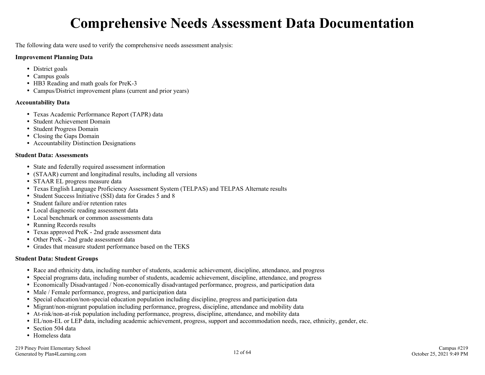## **Comprehensive Needs Assessment Data Documentation**

The following data were used to verify the comprehensive needs assessment analysis:

#### **Improvement Planning Data**

- District goals
- Campus goals
- HB3 Reading and math goals for PreK-3
- Campus/District improvement plans (current and prior years)

#### **Accountability Data**

- Texas Academic Performance Report (TAPR) data
- Student Achievement Domain
- Student Progress Domain
- Closing the Gaps Domain
- Accountability Distinction Designations

#### **Student Data: Assessments**

- State and federally required assessment information
- (STAAR) current and longitudinal results, including all versions
- STAAR EL progress measure data
- Texas English Language Proficiency Assessment System (TELPAS) and TELPAS Alternate results
- Student Success Initiative (SSI) data for Grades 5 and 8
- Student failure and/or retention rates
- Local diagnostic reading assessment data
- Local benchmark or common assessments data
- Running Records results
- Texas approved PreK 2nd grade assessment data
- Other PreK 2nd grade assessment data
- Grades that measure student performance based on the TEKS

#### **Student Data: Student Groups**

- Race and ethnicity data, including number of students, academic achievement, discipline, attendance, and progress
- Special programs data, including number of students, academic achievement, discipline, attendance, and progress
- Economically Disadvantaged / Non-economically disadvantaged performance, progress, and participation data
- Male / Female performance, progress, and participation data
- Special education/non-special education population including discipline, progress and participation data
- Migrant/non-migrant population including performance, progress, discipline, attendance and mobility data
- At-risk/non-at-risk population including performance, progress, discipline, attendance, and mobility data
- EL/non-EL or LEP data, including academic achievement, progress, support and accommodation needs, race, ethnicity, gender, etc.
- Section 504 data
- Homeless data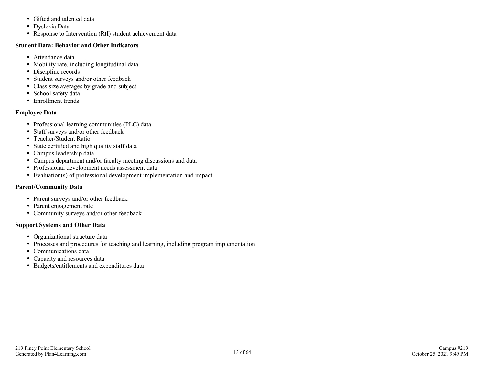- Gifted and talented data
- Dyslexia Data
- Response to Intervention (RtI) student achievement data

#### **Student Data: Behavior and Other Indicators**

- Attendance data
- Mobility rate, including longitudinal data
- Discipline records
- Student surveys and/or other feedback
- Class size averages by grade and subject
- School safety data
- Enrollment trends

#### **Employee Data**

- Professional learning communities (PLC) data
- Staff surveys and/or other feedback
- Teacher/Student Ratio
- State certified and high quality staff data
- Campus leadership data
- Campus department and/or faculty meeting discussions and data
- Professional development needs assessment data
- Evaluation(s) of professional development implementation and impact

#### **Parent/Community Data**

- Parent surveys and/or other feedback
- Parent engagement rate
- Community surveys and/or other feedback

#### **Support Systems and Other Data**

- Organizational structure data
- Processes and procedures for teaching and learning, including program implementation
- Communications data
- Capacity and resources data
- Budgets/entitlements and expenditures data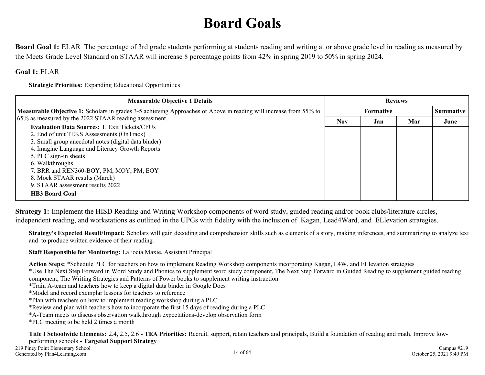## **Board Goals**

**Board Goal 1:** ELAR The percentage of 3rd grade students performing at students reading and writing at or above grade level in reading as measured by the Meets Grade Level Standard on STAAR will increase 8 percentage points from 42% in spring 2019 to 50% in spring 2024.

**Goal 1:** ELAR

**Strategic Priorities:** Expanding Educational Opportunities

| <b>Reviews</b><br><b>Measurable Objective 1 Details</b>                                                           |                  |     |     |                  |
|-------------------------------------------------------------------------------------------------------------------|------------------|-----|-----|------------------|
| Measurable Objective 1: Scholars in grades 3-5 achieving Approaches or Above in reading will increase from 55% to | <b>Formative</b> |     |     | <b>Summative</b> |
| 65% as measured by the 2022 STAAR reading assessment.                                                             | <b>Nov</b>       | Jan | Mar | June             |
| <b>Evaluation Data Sources: 1. Exit Tickets/CFUs</b>                                                              |                  |     |     |                  |
| 2. End of unit TEKS Assessments (OnTrack)                                                                         |                  |     |     |                  |
| 3. Small group anecdotal notes (digital data binder)                                                              |                  |     |     |                  |
| 4. Imagine Language and Literacy Growth Reports                                                                   |                  |     |     |                  |
| 5. PLC sign-in sheets                                                                                             |                  |     |     |                  |
| 6. Walkthroughs                                                                                                   |                  |     |     |                  |
| 7. BRR and REN360-BOY, PM, MOY, PM, EOY                                                                           |                  |     |     |                  |
| 8. Mock STAAR results (March)                                                                                     |                  |     |     |                  |
| 9. STAAR assessment results 2022                                                                                  |                  |     |     |                  |
| <b>HB3</b> Board Goal                                                                                             |                  |     |     |                  |

**Strategy 1:** Implement the HISD Reading and Writing Workshop components of word study, guided reading and/or book clubs/literature circles, independent reading, and workstations as outlined in the UPGs with fidelity with the inclusion of Kagan, Lead4Ward, and ELlevation strategies.

**Strategy's Expected Result/Impact:** Scholars will gain decoding and comprehension skills such as elements of a story, making inferences, and summarizing to analyze text and to produce written evidence of their reading .

**Staff Responsible for Monitoring:** LaFocia Maxie, Assistant Principal

**Action Steps:** \*Schedule PLC for teachers on how to implement Reading Workshop components incorporating Kagan, L4W, and ELlevation strategies

\*Use The Next Step Forward in Word Study and Phonics to supplement word study component, The Next Step Forward in Guided Reading to supplement guided reading component, The Writing Strategies and Patterns of Power books to supplement writing instruction

\*Train A-team and teachers how to keep a digital data binder in Google Docs

\*Model and record exemplar lessons for teachers to reference

\*Plan with teachers on how to implement reading workshop during a PLC

\*Review and plan with teachers how to incorporate the first 15 days of reading during a PLC

\*A-Team meets to discuss observation walkthrough expectations-develop observation form

\*PLC meeting to be held 2 times a month

**Title I Schoolwide Elements:** 2.4, 2.5, 2.6 - **TEA Priorities:** Recruit, support, retain teachers and principals, Build a foundation of reading and math, Improve lowperforming schools - **Targeted Support Strategy**

219 Piney Point Elementary School Generated by Plan4Learning.com 14 of 64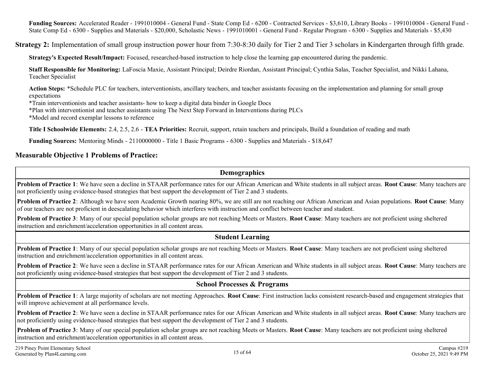**Funding Sources:** Accelerated Reader - 1991010004 - General Fund - State Comp Ed - 6200 - Contracted Services - \$3,610, Library Books - 1991010004 - General Fund - State Comp Ed - 6300 - Supplies and Materials - \$20,000, Scholastic News - 1991010001 - General Fund - Regular Program - 6300 - Supplies and Materials - \$5,430

**Strategy 2:** Implementation of small group instruction power hour from 7:30-8:30 daily for Tier 2 and Tier 3 scholars in Kindergarten through fifth grade.

**Strategy's Expected Result/Impact:** Focused, researched-based instruction to help close the learning gap encountered during the pandemic.

**Staff Responsible for Monitoring:** LaFoscia Maxie, Assistant Principal; Deirdre Riordan, Assistant Principal; Cynthia Salas, Teacher Specialist, and Nikki Lahana, Teacher Specialist

Action Steps: \*Schedule PLC for teachers, interventionists, ancillary teachers, and teacher assistants focusing on the implementation and planning for small group expectations

\*Train interventionists and teacher assistants- how to keep a digital data binder in Google Docs

\*Plan with interventionist and teacher assistants using The Next Step Forward in Interventions during PLCs

\*Model and record exemplar lessons to reference

**Title I Schoolwide Elements:** 2.4, 2.5, 2.6 - **TEA Priorities:** Recruit, support, retain teachers and principals, Build a foundation of reading and math

**Funding Sources:** Mentoring Minds - 2110000000 - Title 1 Basic Programs - 6300 - Supplies and Materials - \$18,647

#### **Measurable Objective 1 Problems of Practice:**

#### **Demographics**

**Problem of Practice 1**: We have seen a decline in STAAR performance rates for our African American and White students in all subject areas. **Root Cause**: Many teachers are not proficiently using evidence-based strategies that best support the development of Tier 2 and 3 students.

**Problem of Practice 2**: Although we have seen Academic Growth nearing 80%, we are still are not reaching our African American and Asian populations. **Root Cause**: Many of our teachers are not proficient in deescalating behavior which interferes with instruction and conflict between teacher and student.

**Problem of Practice 3**: Many of our special population scholar groups are not reaching Meets or Masters. **Root Cause**: Many teachers are not proficient using sheltered instruction and enrichment/acceleration opportunities in all content areas.

#### **Student Learning**

**Problem of Practice 1**: Many of our special population scholar groups are not reaching Meets or Masters. **Root Cause**: Many teachers are not proficient using sheltered instruction and enrichment/acceleration opportunities in all content areas.

**Problem of Practice 2**: We have seen a decline in STAAR performance rates for our African American and White students in all subject areas. **Root Cause**: Many teachers are not proficiently using evidence-based strategies that best support the development of Tier 2 and 3 students.

#### **School Processes & Programs**

**Problem of Practice 1**: A large majority of scholars are not meeting Approaches. **Root Cause**: First instruction lacks consistent research-based and engagement strategies that will improve achievement at all performance levels.

**Problem of Practice 2**: We have seen a decline in STAAR performance rates for our African American and White students in all subject areas. **Root Cause**: Many teachers are not proficiently using evidence-based strategies that best support the development of Tier 2 and 3 students.

**Problem of Practice 3**: Many of our special population scholar groups are not reaching Meets or Masters. **Root Cause**: Many teachers are not proficient using sheltered instruction and enrichment/acceleration opportunities in all content areas.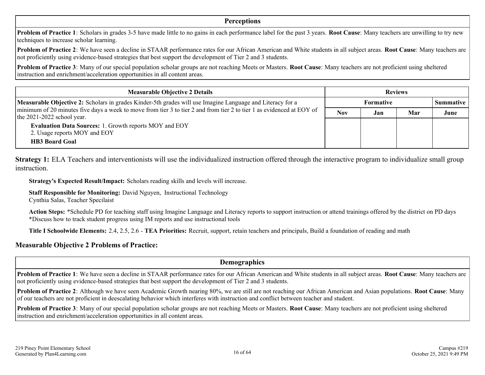#### **Perceptions**

**Problem of Practice 1**: Scholars in grades 3-5 have made little to no gains in each performance label for the past 3 years. **Root Cause**: Many teachers are unwilling to try new techniques to increase scholar learning.

**Problem of Practice 2**: We have seen a decline in STAAR performance rates for our African American and White students in all subject areas. **Root Cause**: Many teachers are not proficiently using evidence-based strategies that best support the development of Tier 2 and 3 students.

**Problem of Practice 3**: Many of our special population scholar groups are not reaching Meets or Masters. **Root Cause**: Many teachers are not proficient using sheltered instruction and enrichment/acceleration opportunities in all content areas.

| <b>Measurable Objective 2 Details</b>                                                                                                                                                                                                                                     | <b>Reviews</b>                       |     |     |      |
|---------------------------------------------------------------------------------------------------------------------------------------------------------------------------------------------------------------------------------------------------------------------------|--------------------------------------|-----|-----|------|
| <b>Measurable Objective 2:</b> Scholars in grades Kinder-5th grades will use Imagine Language and Literacy for a<br>minimum of 20 minutes five days a week to move from tier 3 to tier 2 and from tier 2 to tier 1 as evidenced at EOY of<br>the $2021-2022$ school year. | <b>Formative</b><br><b>Summative</b> |     |     |      |
|                                                                                                                                                                                                                                                                           | <b>Nov</b>                           | Jan | Mar | June |
| <b>Evaluation Data Sources: 1. Growth reports MOY and EOY</b><br>2. Usage reports MOY and EOY<br><b>HB3</b> Board Goal                                                                                                                                                    |                                      |     |     |      |

**Strategy 1:** ELA Teachers and interventionists will use the individualized instruction offered through the interactive program to individualize small group **instruction** 

**Strategy's Expected Result/Impact:** Scholars reading skills and levels will increase.

**Staff Responsible for Monitoring:** David Nguyen, Instructional Technology Cynthia Salas, Teacher Specilaist

Action Steps: \*Schedule PD for teaching staff using Imagine Language and Literacy reports to support instruction or attend trainings offered by the district on PD days \*Discuss how to track student progress using IM reports and use instructional tools

**Title I Schoolwide Elements:** 2.4, 2.5, 2.6 - **TEA Priorities:** Recruit, support, retain teachers and principals, Build a foundation of reading and math

#### **Measurable Objective 2 Problems of Practice:**

**Demographics**

**Problem of Practice 1**: We have seen a decline in STAAR performance rates for our African American and White students in all subject areas. **Root Cause**: Many teachers are not proficiently using evidence-based strategies that best support the development of Tier 2 and 3 students.

**Problem of Practice 2**: Although we have seen Academic Growth nearing 80%, we are still are not reaching our African American and Asian populations. **Root Cause**: Many of our teachers are not proficient in deescalating behavior which interferes with instruction and conflict between teacher and student.

**Problem of Practice 3**: Many of our special population scholar groups are not reaching Meets or Masters. **Root Cause**: Many teachers are not proficient using sheltered instruction and enrichment/acceleration opportunities in all content areas.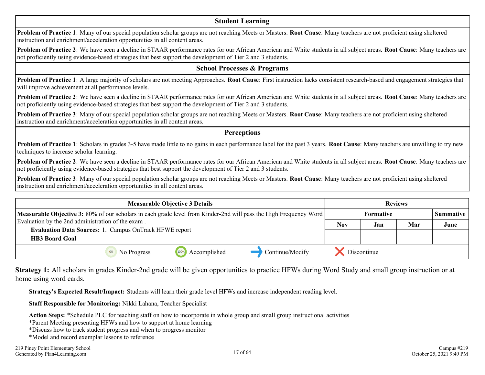#### **Student Learning**

**Problem of Practice 1**: Many of our special population scholar groups are not reaching Meets or Masters. **Root Cause**: Many teachers are not proficient using sheltered instruction and enrichment/acceleration opportunities in all content areas.

**Problem of Practice 2**: We have seen a decline in STAAR performance rates for our African American and White students in all subject areas. **Root Cause**: Many teachers are not proficiently using evidence-based strategies that best support the development of Tier 2 and 3 students.

#### **School Processes & Programs**

**Problem of Practice 1**: A large majority of scholars are not meeting Approaches. **Root Cause**: First instruction lacks consistent research-based and engagement strategies that will improve achievement at all performance levels.

**Problem of Practice 2**: We have seen a decline in STAAR performance rates for our African American and White students in all subject areas. **Root Cause**: Many teachers are not proficiently using evidence-based strategies that best support the development of Tier 2 and 3 students.

**Problem of Practice 3**: Many of our special population scholar groups are not reaching Meets or Masters. **Root Cause**: Many teachers are not proficient using sheltered instruction and enrichment/acceleration opportunities in all content areas.

**Perceptions**

**Problem of Practice 1**: Scholars in grades 3-5 have made little to no gains in each performance label for the past 3 years. **Root Cause**: Many teachers are unwilling to try new techniques to increase scholar learning.

**Problem of Practice 2**: We have seen a decline in STAAR performance rates for our African American and White students in all subject areas. **Root Cause**: Many teachers are not proficiently using evidence-based strategies that best support the development of Tier 2 and 3 students.

**Problem of Practice 3**: Many of our special population scholar groups are not reaching Meets or Masters. **Root Cause**: Many teachers are not proficient using sheltered instruction and enrichment/acceleration opportunities in all content areas.

| <b>Measurable Objective 3 Details</b>                                                                                    |                                                               |                      |                 | <b>Reviews</b> |     |     |      |                  |  |                  |
|--------------------------------------------------------------------------------------------------------------------------|---------------------------------------------------------------|----------------------|-----------------|----------------|-----|-----|------|------------------|--|------------------|
| <b>Measurable Objective 3:</b> 80% of our scholars in each grade level from Kinder-2nd will pass the High Frequency Word |                                                               |                      |                 |                |     |     |      | <b>Formative</b> |  | <b>Summative</b> |
| Evaluation by the 2nd administration of the exam.                                                                        |                                                               |                      |                 | <b>Nov</b>     | Jan | Mar | June |                  |  |                  |
|                                                                                                                          | <b>Evaluation Data Sources: 1. Campus OnTrack HFWE report</b> |                      |                 |                |     |     |      |                  |  |                  |
| <b>HB3 Board Goal</b>                                                                                                    |                                                               |                      |                 |                |     |     |      |                  |  |                  |
|                                                                                                                          | No Progress                                                   | 100%<br>Accomplished | Continue/Modify | Discontinue    |     |     |      |                  |  |                  |

**Strategy 1:** All scholars in grades Kinder-2nd grade will be given opportunities to practice HFWs during Word Study and small group instruction or at home using word cards.

**Strategy's Expected Result/Impact:** Students will learn their grade level HFWs and increase independent reading level.

**Staff Responsible for Monitoring:** Nikki Lahana, Teacher Specialist

**Action Steps:** \*Schedule PLC for teaching staff on how to incorporate in whole group and small group instructional activities

\*Parent Meeting presenting HFWs and how to support at home learning

\*Discuss how to track student progress and when to progress monitor

\*Model and record exemplar lessons to reference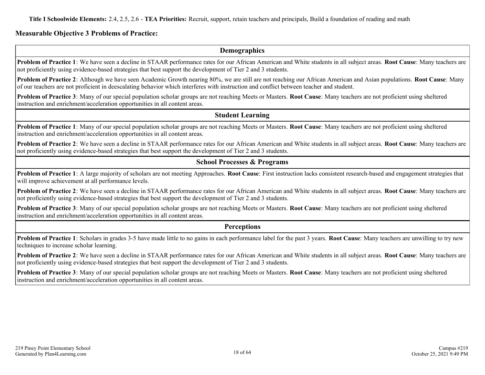**Title I Schoolwide Elements:** 2.4, 2.5, 2.6 - **TEA Priorities:** Recruit, support, retain teachers and principals, Build a foundation of reading and math

#### **Measurable Objective 3 Problems of Practice:**

**Demographics**

**Problem of Practice 1**: We have seen a decline in STAAR performance rates for our African American and White students in all subject areas. **Root Cause**: Many teachers are not proficiently using evidence-based strategies that best support the development of Tier 2 and 3 students.

**Problem of Practice 2**: Although we have seen Academic Growth nearing 80%, we are still are not reaching our African American and Asian populations. **Root Cause**: Many of our teachers are not proficient in deescalating behavior which interferes with instruction and conflict between teacher and student.

**Problem of Practice 3**: Many of our special population scholar groups are not reaching Meets or Masters. **Root Cause**: Many teachers are not proficient using sheltered instruction and enrichment/acceleration opportunities in all content areas.

**Student Learning**

**Problem of Practice 1**: Many of our special population scholar groups are not reaching Meets or Masters. **Root Cause**: Many teachers are not proficient using sheltered instruction and enrichment/acceleration opportunities in all content areas.

**Problem of Practice 2**: We have seen a decline in STAAR performance rates for our African American and White students in all subject areas. **Root Cause**: Many teachers are not proficiently using evidence-based strategies that best support the development of Tier 2 and 3 students.

#### **School Processes & Programs**

**Problem of Practice 1**: A large majority of scholars are not meeting Approaches. **Root Cause**: First instruction lacks consistent research-based and engagement strategies that will improve achievement at all performance levels.

**Problem of Practice 2**: We have seen a decline in STAAR performance rates for our African American and White students in all subject areas. **Root Cause**: Many teachers are not proficiently using evidence-based strategies that best support the development of Tier 2 and 3 students.

**Problem of Practice 3**: Many of our special population scholar groups are not reaching Meets or Masters. **Root Cause**: Many teachers are not proficient using sheltered instruction and enrichment/acceleration opportunities in all content areas.

#### **Perceptions**

**Problem of Practice 1**: Scholars in grades 3-5 have made little to no gains in each performance label for the past 3 years. **Root Cause**: Many teachers are unwilling to try new techniques to increase scholar learning.

**Problem of Practice 2**: We have seen a decline in STAAR performance rates for our African American and White students in all subject areas. **Root Cause**: Many teachers are not proficiently using evidence-based strategies that best support the development of Tier 2 and 3 students.

**Problem of Practice 3**: Many of our special population scholar groups are not reaching Meets or Masters. **Root Cause**: Many teachers are not proficient using sheltered instruction and enrichment/acceleration opportunities in all content areas.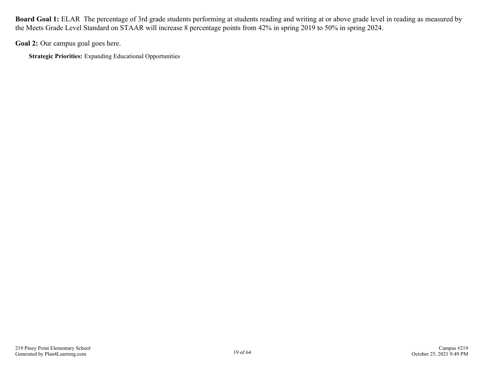**Board Goal 1:** ELAR The percentage of 3rd grade students performing at students reading and writing at or above grade level in reading as measured by the Meets Grade Level Standard on STAAR will increase 8 percentage points from 42% in spring 2019 to 50% in spring 2024.

**Goal 2:** Our campus goal goes here.

**Strategic Priorities:** Expanding Educational Opportunities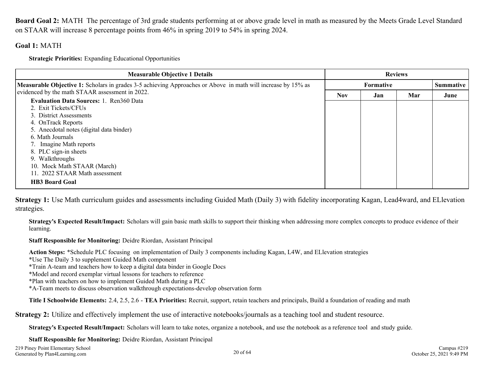**Board Goal 2:** MATH The percentage of 3rd grade students performing at or above grade level in math as measured by the Meets Grade Level Standard on STAAR will increase 8 percentage points from 46% in spring 2019 to 54% in spring 2024.

#### **Goal 1:** MATH

**Strategic Priorities:** Expanding Educational Opportunities

| <b>Measurable Objective 1 Details</b>                                                                               |            | <b>Reviews</b>                       |     |      |  |
|---------------------------------------------------------------------------------------------------------------------|------------|--------------------------------------|-----|------|--|
| <b>Measurable Objective 1:</b> Scholars in grades 3-5 achieving Approaches or Above in math will increase by 15% as |            | <b>Summative</b><br><b>Formative</b> |     |      |  |
| evidenced by the math STAAR assessment in 2022.                                                                     | <b>Nov</b> | Jan                                  | Mar | June |  |
| <b>Evaluation Data Sources: 1. Ren360 Data</b>                                                                      |            |                                      |     |      |  |
| 2. Exit Tickets/CFUs                                                                                                |            |                                      |     |      |  |
| 3. District Assessments                                                                                             |            |                                      |     |      |  |
| 4. OnTrack Reports                                                                                                  |            |                                      |     |      |  |
| 5. Anecdotal notes (digital data binder)                                                                            |            |                                      |     |      |  |
| 6. Math Journals                                                                                                    |            |                                      |     |      |  |
| 7. Imagine Math reports                                                                                             |            |                                      |     |      |  |
| 8. PLC sign-in sheets                                                                                               |            |                                      |     |      |  |
| 9. Walkthroughs                                                                                                     |            |                                      |     |      |  |
| 10. Mock Math STAAR (March)                                                                                         |            |                                      |     |      |  |
| 11. 2022 STAAR Math assessment                                                                                      |            |                                      |     |      |  |
| <b>HB3 Board Goal</b>                                                                                               |            |                                      |     |      |  |

**Strategy 1:** Use Math curriculum guides and assessments including Guided Math (Daily 3) with fidelity incorporating Kagan, Lead4ward, and ELlevation strategies.

**Strategy's Expected Result/Impact:** Scholars will gain basic math skills to support their thinking when addressing more complex concepts to produce evidence of their learning.

**Staff Responsible for Monitoring:** Deidre Riordan, Assistant Principal

**Action Steps:** \*Schedule PLC focusing on implementation of Daily 3 components including Kagan, L4W, and ELlevation strategies

- \*Use The Daily 3 to supplement Guided Math component
- \*Train A-team and teachers how to keep a digital data binder in Google Docs
- \*Model and record exemplar virtual lessons for teachers to reference
- \*Plan with teachers on how to implement Guided Math during a PLC
- \*A-Team meets to discuss observation walkthrough expectations-develop observation form

**Title I Schoolwide Elements:** 2.4, 2.5, 2.6 - **TEA Priorities:** Recruit, support, retain teachers and principals, Build a foundation of reading and math

**Strategy 2:** Utilize and effectively implement the use of interactive notebooks/journals as a teaching tool and student resource.

**Strategy's Expected Result/Impact:** Scholars will learn to take notes, organize a notebook, and use the notebook as a reference tool and study guide.

**Staff Responsible for Monitoring:** Deidre Riordan, Assistant Principal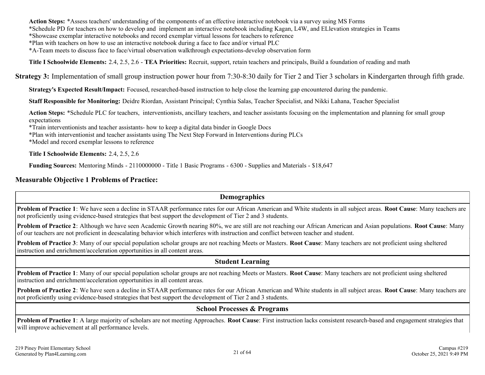**Action Steps:** \*Assess teachers' understanding of the components of an effective interactive notebook via a survey using MS Forms \*Schedule PD for teachers on how to develop and implement an interactive notebook including Kagan, L4W, and ELlevation strategies in Teams

\*Showcase exemplar interactive notebooks and record exemplar virtual lessons for teachers to reference

\*Plan with teachers on how to use an interactive notebook during a face to face and/or virtual PLC

\*A-Team meets to discuss face to face/virtual observation walkthrough expectations-develop observation form

**Title I Schoolwide Elements:** 2.4, 2.5, 2.6 - **TEA Priorities:** Recruit, support, retain teachers and principals, Build a foundation of reading and math

**Strategy 3:** Implementation of small group instruction power hour from 7:30-8:30 daily for Tier 2 and Tier 3 scholars in Kindergarten through fifth grade.

**Strategy's Expected Result/Impact:** Focused, researched-based instruction to help close the learning gap encountered during the pandemic.

**Staff Responsible for Monitoring:** Deidre Riordan, Assistant Principal; Cynthia Salas, Teacher Specialist, and Nikki Lahana, Teacher Specialist

Action Steps: \*Schedule PLC for teachers, interventionists, ancillary teachers, and teacher assistants focusing on the implementation and planning for small group expectations

\*Train interventionists and teacher assistants- how to keep a digital data binder in Google Docs

\*Plan with interventionist and teacher assistants using The Next Step Forward in Interventions during PLCs

\*Model and record exemplar lessons to reference

**Title I Schoolwide Elements:** 2.4, 2.5, 2.6

**Funding Sources:** Mentoring Minds - 2110000000 - Title 1 Basic Programs - 6300 - Supplies and Materials - \$18,647

#### **Measurable Objective 1 Problems of Practice:**

**Demographics**

**Problem of Practice 1**: We have seen a decline in STAAR performance rates for our African American and White students in all subject areas. **Root Cause**: Many teachers are not proficiently using evidence-based strategies that best support the development of Tier 2 and 3 students.

**Problem of Practice 2**: Although we have seen Academic Growth nearing 80%, we are still are not reaching our African American and Asian populations. **Root Cause**: Many of our teachers are not proficient in deescalating behavior which interferes with instruction and conflict between teacher and student.

**Problem of Practice 3**: Many of our special population scholar groups are not reaching Meets or Masters. **Root Cause**: Many teachers are not proficient using sheltered instruction and enrichment/acceleration opportunities in all content areas.

**Student Learning**

**Problem of Practice 1**: Many of our special population scholar groups are not reaching Meets or Masters. **Root Cause**: Many teachers are not proficient using sheltered instruction and enrichment/acceleration opportunities in all content areas.

**Problem of Practice 2**: We have seen a decline in STAAR performance rates for our African American and White students in all subject areas. **Root Cause**: Many teachers are not proficiently using evidence-based strategies that best support the development of Tier 2 and 3 students.

#### **School Processes & Programs**

**Problem of Practice 1**: A large majority of scholars are not meeting Approaches. **Root Cause**: First instruction lacks consistent research-based and engagement strategies that will improve achievement at all performance levels.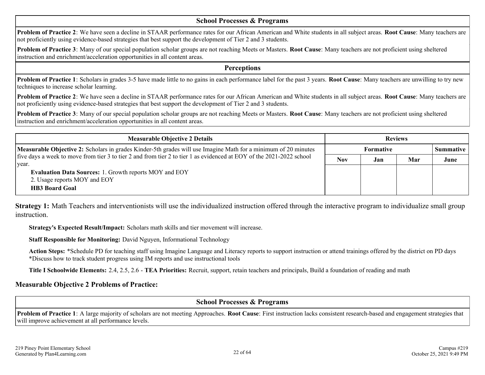#### **School Processes & Programs**

**Problem of Practice 2**: We have seen a decline in STAAR performance rates for our African American and White students in all subject areas. **Root Cause**: Many teachers are not proficiently using evidence-based strategies that best support the development of Tier 2 and 3 students.

**Problem of Practice 3**: Many of our special population scholar groups are not reaching Meets or Masters. **Root Cause**: Many teachers are not proficient using sheltered instruction and enrichment/acceleration opportunities in all content areas.

**Perceptions**

**Problem of Practice 1**: Scholars in grades 3-5 have made little to no gains in each performance label for the past 3 years. **Root Cause**: Many teachers are unwilling to try new techniques to increase scholar learning.

**Problem of Practice 2**: We have seen a decline in STAAR performance rates for our African American and White students in all subject areas. **Root Cause**: Many teachers are not proficiently using evidence-based strategies that best support the development of Tier 2 and 3 students.

**Problem of Practice 3**: Many of our special population scholar groups are not reaching Meets or Masters. **Root Cause**: Many teachers are not proficient using sheltered instruction and enrichment/acceleration opportunities in all content areas.

| <b>Measurable Objective 2 Details</b>                                                                                         | <b>Reviews</b> |                  |     |                  |
|-------------------------------------------------------------------------------------------------------------------------------|----------------|------------------|-----|------------------|
| <b>Measurable Objective 2:</b> Scholars in grades Kinder-5th grades will use Imagine Math for a minimum of 20 minutes         |                | <b>Formative</b> |     | <b>Summative</b> |
| five days a week to move from tier 3 to tier 2 and from tier 2 to tier 1 as evidenced at EOY of the 2021-2022 school<br>vear. | <b>Nov</b>     | Jan              | Mar | June             |
| Evaluation Data Sources: 1. Growth reports MOY and EOY<br>2. Usage reports MOY and EOY<br><b>HB3 Board Goal</b>               |                |                  |     |                  |

**Strategy 1:** Math Teachers and interventionists will use the individualized instruction offered through the interactive program to individualize small group instruction.

**Strategy's Expected Result/Impact:** Scholars math skills and tier movement will increase.

**Staff Responsible for Monitoring:** David Nguyen, Informational Technology

Action Steps: \*Schedule PD for teaching staff using Imagine Language and Literacy reports to support instruction or attend trainings offered by the district on PD days \*Discuss how to track student progress using IM reports and use instructional tools

**Title I Schoolwide Elements:** 2.4, 2.5, 2.6 - **TEA Priorities:** Recruit, support, retain teachers and principals, Build a foundation of reading and math

#### **Measurable Objective 2 Problems of Practice:**

**School Processes & Programs**

**Problem of Practice 1**: A large majority of scholars are not meeting Approaches. **Root Cause**: First instruction lacks consistent research-based and engagement strategies that will improve achievement at all performance levels.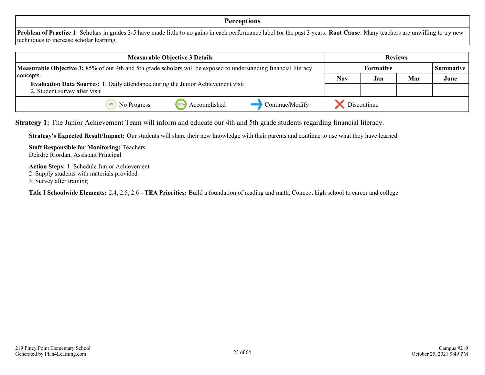#### **Perceptions**

**Problem of Practice 1**: Scholars in grades 3-5 have made little to no gains in each performance label for the past 3 years. **Root Cause**: Many teachers are unwilling to try new techniques to increase scholar learning.

| <b>Measurable Objective 3 Details</b>                                                                                    |                   |                      |                 | <b>Reviews</b> |                  |  |
|--------------------------------------------------------------------------------------------------------------------------|-------------------|----------------------|-----------------|----------------|------------------|--|
| Measurable Objective 3: 85% of our 4th and 5th grade scholars will be exposed to understanding financial literacy        |                   |                      | Formative       |                | <b>Summative</b> |  |
| concepts.                                                                                                                |                   | <b>Nov</b>           | Jan             | Mar            | June             |  |
| <b>Evaluation Data Sources:</b> 1. Daily attendance during the Junior Achievement visit<br>2. Student survey after visit |                   |                      |                 |                |                  |  |
|                                                                                                                          | No Progress<br>0% | Accomplished<br>100% | Continue/Modify | Discontinue    |                  |  |

**Strategy 1:** The Junior Achievement Team will inform and educate our 4th and 5th grade students regarding financial literacy.

**Strategy's Expected Result/Impact:** Our students will share their new knowledge with their parents and continue to use what they have learned.

**Staff Responsible for Monitoring:** Teachers Deirdre Riordan, Assistant Principal

**Action Steps:** 1. Schedule Junior Achievement

- 2. Supply students with materials provided
- 3. Survey after training

**Title I Schoolwide Elements:** 2.4, 2.5, 2.6 - **TEA Priorities:** Build a foundation of reading and math, Connect high school to career and college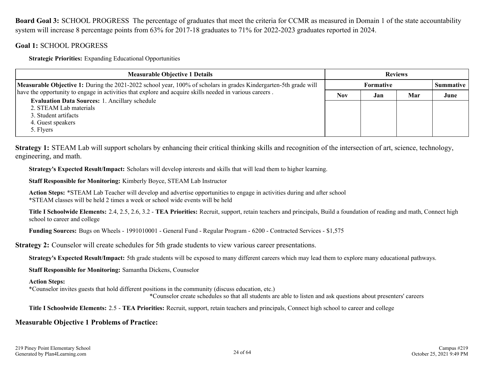**Board Goal 3:** SCHOOL PROGRESS The percentage of graduates that meet the criteria for CCMR as measured in Domain 1 of the state accountability system will increase 8 percentage points from 63% for 2017-18 graduates to 71% for 2022-2023 graduates reported in 2024.

#### **Goal 1:** SCHOOL PROGRESS

**Strategic Priorities:** Expanding Educational Opportunities

| <b>Reviews</b><br><b>Measurable Objective 1 Details</b>                                                                                                                                                                                                                              |                               |     |     |      |
|--------------------------------------------------------------------------------------------------------------------------------------------------------------------------------------------------------------------------------------------------------------------------------------|-------------------------------|-----|-----|------|
| Measurable Objective 1: During the 2021-2022 school year, 100% of scholars in grades Kindergarten-5th grade will<br>have the opportunity to engage in activities that explore and acquire skills needed in various careers.<br><b>Evaluation Data Sources: 1. Ancillary schedule</b> | Formative<br><b>Summative</b> |     |     |      |
|                                                                                                                                                                                                                                                                                      | <b>Nov</b>                    | Jan | Mar | June |
| 2. STEAM Lab materials                                                                                                                                                                                                                                                               |                               |     |     |      |
| 3. Student artifacts                                                                                                                                                                                                                                                                 |                               |     |     |      |
| 4. Guest speakers                                                                                                                                                                                                                                                                    |                               |     |     |      |
| 5. Flyers                                                                                                                                                                                                                                                                            |                               |     |     |      |

**Strategy 1:** STEAM Lab will support scholars by enhancing their critical thinking skills and recognition of the intersection of art, science, technology, engineering, and math.

**Strategy's Expected Result/Impact:** Scholars will develop interests and skills that will lead them to higher learning.

**Staff Responsible for Monitoring:** Kimberly Boyce, STEAM Lab Instructor

**Action Steps:** \*STEAM Lab Teacher will develop and advertise opportunities to engage in activities during and after school \*STEAM classes will be held 2 times a week or school wide events will be held

**Title I Schoolwide Elements:** 2.4, 2.5, 2.6, 3.2 - **TEA Priorities:** Recruit, support, retain teachers and principals, Build a foundation of reading and math, Connect high school to career and college

**Funding Sources:** Bugs on Wheels - 1991010001 - General Fund - Regular Program - 6200 - Contracted Services - \$1,575

**Strategy 2:** Counselor will create schedules for 5th grade students to view various career presentations.

**Strategy's Expected Result/Impact:** 5th grade students will be exposed to many different careers which may lead them to explore many educational pathways.

**Staff Responsible for Monitoring:** Samantha Dickens, Counselor

**Action Steps:**

\*Counselor invites guests that hold different positions in the community (discuss education, etc.)

\*Counselor create schedules so that all students are able to listen and ask questions about presenters' careers

**Title I Schoolwide Elements:** 2.5 - **TEA Priorities:** Recruit, support, retain teachers and principals, Connect high school to career and college

#### **Measurable Objective 1 Problems of Practice:**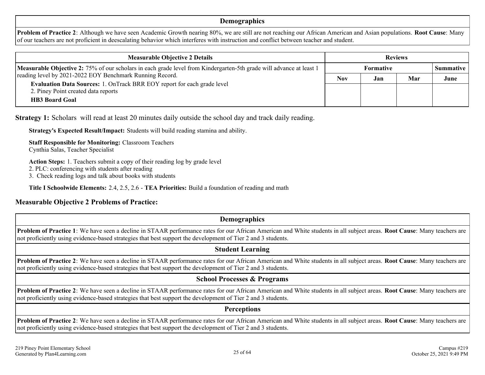#### **Demographics**

**Problem of Practice 2**: Although we have seen Academic Growth nearing 80%, we are still are not reaching our African American and Asian populations. **Root Cause**: Many of our teachers are not proficient in deescalating behavior which interferes with instruction and conflict between teacher and student.

| <b>Measurable Objective 2 Details</b>                                                                                      | <b>Reviews</b>                |     |     |      |
|----------------------------------------------------------------------------------------------------------------------------|-------------------------------|-----|-----|------|
| <b>Measurable Objective 2:</b> 75% of our scholars in each grade level from Kindergarten-5th grade will advance at least 1 | Formative<br><b>Summative</b> |     |     |      |
| reading level by 2021-2022 EOY Benchmark Running Record.                                                                   | <b>Nov</b>                    | Jan | Mar | June |
| Evaluation Data Sources: 1. OnTrack BRR EOY report for each grade level<br>2. Piney Point created data reports             |                               |     |     |      |
| <b>HB3</b> Board Goal                                                                                                      |                               |     |     |      |

**Strategy 1:** Scholars will read at least 20 minutes daily outside the school day and track daily reading.

**Strategy's Expected Result/Impact:** Students will build reading stamina and ability.

**Staff Responsible for Monitoring:** Classroom Teachers

Cynthia Salas, Teacher Specialist

**Action Steps:** 1. Teachers submit a copy of their reading log by grade level

2. PLC: conferencing with students after reading

3. Check reading logs and talk about books with students

**Title I Schoolwide Elements:** 2.4, 2.5, 2.6 - **TEA Priorities:** Build a foundation of reading and math

#### **Measurable Objective 2 Problems of Practice:**

### **Demographics Problem of Practice 1**: We have seen a decline in STAAR performance rates for our African American and White students in all subject areas. **Root Cause**: Many teachers are not proficiently using evidence-based strategies that best support the development of Tier 2 and 3 students. **Student Learning Problem of Practice 2**: We have seen a decline in STAAR performance rates for our African American and White students in all subject areas. **Root Cause**: Many teachers are not proficiently using evidence-based strategies that best support the development of Tier 2 and 3 students.

#### **School Processes & Programs**

**Problem of Practice 2**: We have seen a decline in STAAR performance rates for our African American and White students in all subject areas. **Root Cause**: Many teachers are not proficiently using evidence-based strategies that best support the development of Tier 2 and 3 students.

#### **Perceptions**

**Problem of Practice 2**: We have seen a decline in STAAR performance rates for our African American and White students in all subject areas. **Root Cause**: Many teachers are not proficiently using evidence-based strategies that best support the development of Tier 2 and 3 students.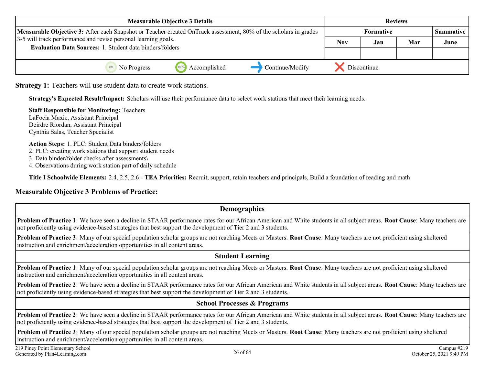| <b>Measurable Objective 3 Details</b>                                                                            |                 |             |                  | <b>Reviews</b> |                  |
|------------------------------------------------------------------------------------------------------------------|-----------------|-------------|------------------|----------------|------------------|
| Measurable Objective 3: After each Snapshot or Teacher created OnTrack assessment, 80% of the scholars in grades |                 |             | <b>Formative</b> |                | <b>Summative</b> |
| 3-5 will track performance and revise personal learning goals.                                                   |                 | <b>Nov</b>  | Jan              | Mar            | June             |
| <b>Evaluation Data Sources: 1. Student data binders/folders</b>                                                  |                 |             |                  |                |                  |
|                                                                                                                  |                 |             |                  |                |                  |
| 100%<br>Accomplished<br><sup>0%</sup> No Progress                                                                | Continue/Modify | Discontinue |                  |                |                  |

**Strategy 1:** Teachers will use student data to create work stations.

**Strategy's Expected Result/Impact:** Scholars will use their performance data to select work stations that meet their learning needs.

**Staff Responsible for Monitoring:** Teachers LaFocia Maxie, Assistant Principal Deirdre Riordan, Assistant Principal Cynthia Salas, Teacher Specialist

**Action Steps:** 1. PLC: Student Data binders/folders

2. PLC: creating work stations that support student needs

3. Data binder/folder checks after assessments\

4. Observations during work station part of daily schedule

**Title I Schoolwide Elements:** 2.4, 2.5, 2.6 - **TEA Priorities:** Recruit, support, retain teachers and principals, Build a foundation of reading and math

#### **Measurable Objective 3 Problems of Practice:**

#### **Demographics**

**Problem of Practice 1**: We have seen a decline in STAAR performance rates for our African American and White students in all subject areas. **Root Cause**: Many teachers are not proficiently using evidence-based strategies that best support the development of Tier 2 and 3 students.

**Problem of Practice 3**: Many of our special population scholar groups are not reaching Meets or Masters. **Root Cause**: Many teachers are not proficient using sheltered instruction and enrichment/acceleration opportunities in all content areas.

**Student Learning**

**Problem of Practice 1**: Many of our special population scholar groups are not reaching Meets or Masters. **Root Cause**: Many teachers are not proficient using sheltered instruction and enrichment/acceleration opportunities in all content areas.

**Problem of Practice 2**: We have seen a decline in STAAR performance rates for our African American and White students in all subject areas. **Root Cause**: Many teachers are not proficiently using evidence-based strategies that best support the development of Tier 2 and 3 students.

#### **School Processes & Programs**

**Problem of Practice 2**: We have seen a decline in STAAR performance rates for our African American and White students in all subject areas. **Root Cause**: Many teachers are not proficiently using evidence-based strategies that best support the development of Tier 2 and 3 students.

**Problem of Practice 3**: Many of our special population scholar groups are not reaching Meets or Masters. **Root Cause**: Many teachers are not proficient using sheltered instruction and enrichment/acceleration opportunities in all content areas.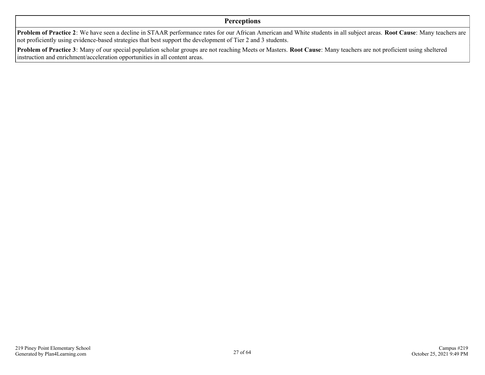#### **Perceptions**

**Problem of Practice 2**: We have seen a decline in STAAR performance rates for our African American and White students in all subject areas. **Root Cause**: Many teachers are not proficiently using evidence-based strategies that best support the development of Tier 2 and 3 students.

**Problem of Practice 3**: Many of our special population scholar groups are not reaching Meets or Masters. **Root Cause**: Many teachers are not proficient using sheltered instruction and enrichment/acceleration opportunities in all content areas.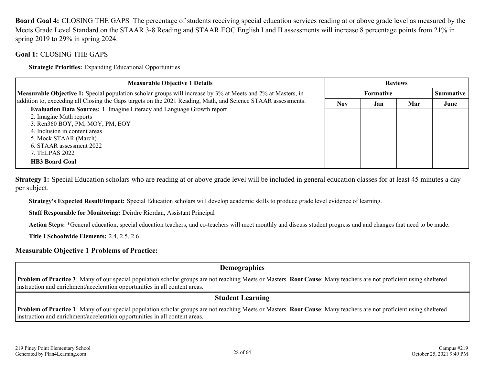**Board Goal 4:** CLOSING THE GAPS The percentage of students receiving special education services reading at or above grade level as measured by the Meets Grade Level Standard on the STAAR 3-8 Reading and STAAR EOC English I and II assessments will increase 8 percentage points from 21% in spring 2019 to 29% in spring 2024.

#### **Goal 1:** CLOSING THE GAPS

**Strategic Priorities:** Expanding Educational Opportunities

| <b>Measurable Objective 1 Details</b>                                                                                                                                                                                                | <b>Reviews</b> |                  |     |      |
|--------------------------------------------------------------------------------------------------------------------------------------------------------------------------------------------------------------------------------------|----------------|------------------|-----|------|
| <b>Measurable Objective 1:</b> Special population scholar groups will increase by 3% at Meets and 2% at Masters, in<br>addition to, exceeding all Closing the Gaps targets on the 2021 Reading, Math, and Science STAAR assessments. |                | <b>Summative</b> |     |      |
|                                                                                                                                                                                                                                      | <b>Nov</b>     | Jan              | Mar | June |
| <b>Evaluation Data Sources:</b> 1. Imagine Literacy and Language Growth report                                                                                                                                                       |                |                  |     |      |
| 2. Imagine Math reports                                                                                                                                                                                                              |                |                  |     |      |
| 3. Ren360 BOY, PM, MOY, PM, EOY                                                                                                                                                                                                      |                |                  |     |      |
| 4. Inclusion in content areas                                                                                                                                                                                                        |                |                  |     |      |
| 5. Mock STAAR (March)                                                                                                                                                                                                                |                |                  |     |      |
| 6. STAAR assessment 2022                                                                                                                                                                                                             |                |                  |     |      |
| 7. TELPAS 2022                                                                                                                                                                                                                       |                |                  |     |      |
| <b>HB3</b> Board Goal                                                                                                                                                                                                                |                |                  |     |      |

**Strategy 1:** Special Education scholars who are reading at or above grade level will be included in general education classes for at least 45 minutes a day per subject.

**Strategy's Expected Result/Impact:** Special Education scholars will develop academic skills to produce grade level evidence of learning.

**Staff Responsible for Monitoring:** Deirdre Riordan, Assistant Principal

**Action Steps:** \*General education, special education teachers, and co-teachers will meet monthly and discuss student progress and and changes that need to be made.

**Title I Schoolwide Elements:** 2.4, 2.5, 2.6

#### **Measurable Objective 1 Problems of Practice:**

#### **Demographics**

**Problem of Practice 3**: Many of our special population scholar groups are not reaching Meets or Masters. **Root Cause**: Many teachers are not proficient using sheltered instruction and enrichment/acceleration opportunities in all content areas.

#### **Student Learning**

**Problem of Practice 1**: Many of our special population scholar groups are not reaching Meets or Masters. **Root Cause**: Many teachers are not proficient using sheltered instruction and enrichment/acceleration opportunities in all content areas.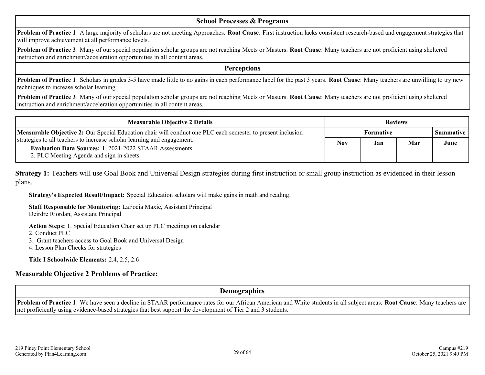#### **School Processes & Programs**

**Problem of Practice 1**: A large majority of scholars are not meeting Approaches. **Root Cause**: First instruction lacks consistent research-based and engagement strategies that will improve achievement at all performance levels.

**Problem of Practice 3**: Many of our special population scholar groups are not reaching Meets or Masters. **Root Cause**: Many teachers are not proficient using sheltered instruction and enrichment/acceleration opportunities in all content areas.

**Perceptions**

**Problem of Practice 1**: Scholars in grades 3-5 have made little to no gains in each performance label for the past 3 years. **Root Cause**: Many teachers are unwilling to try new techniques to increase scholar learning.

**Problem of Practice 3**: Many of our special population scholar groups are not reaching Meets or Masters. **Root Cause**: Many teachers are not proficient using sheltered instruction and enrichment/acceleration opportunities in all content areas.

| <b>Measurable Objective 2 Details</b>                                                                              | <b>Reviews</b>   |     |     |                  |
|--------------------------------------------------------------------------------------------------------------------|------------------|-----|-----|------------------|
| <b>Measurable Objective 2:</b> Our Special Education chair will conduct one PLC each semester to present inclusion | <b>Formative</b> |     |     | <b>Summative</b> |
| strategies to all teachers to increase scholar learning and engagement.                                            | Nov              | Jan | Mar | June             |
| <b>Evaluation Data Sources: 1. 2021-2022 STAAR Assessments</b><br>2. PLC Meeting Agenda and sign in sheets         |                  |     |     |                  |

**Strategy 1:** Teachers will use Goal Book and Universal Design strategies during first instruction or small group instruction as evidenced in their lesson plans.

**Strategy's Expected Result/Impact:** Special Education scholars will make gains in math and reading.

**Staff Responsible for Monitoring:** LaFocia Maxie, Assistant Principal Deirdre Riordan, Assistant Principal

**Action Steps:** 1. Special Education Chair set up PLC meetings on calendar

2. Conduct PLC

3. Grant teachers access to Goal Book and Universal Design

4. Lesson Plan Checks for strategies

**Title I Schoolwide Elements:** 2.4, 2.5, 2.6

#### **Measurable Objective 2 Problems of Practice:**

**Demographics**

**Problem of Practice 1**: We have seen a decline in STAAR performance rates for our African American and White students in all subject areas. **Root Cause**: Many teachers are not proficiently using evidence-based strategies that best support the development of Tier 2 and 3 students.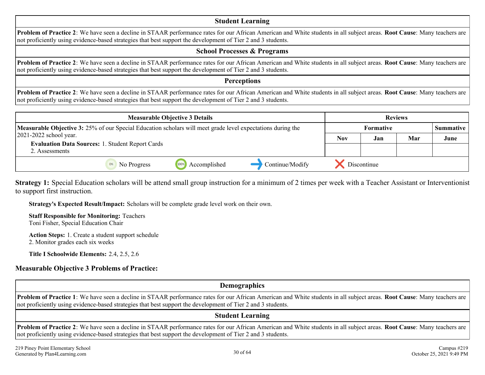#### **Student Learning**

**Problem of Practice 2**: We have seen a decline in STAAR performance rates for our African American and White students in all subject areas. **Root Cause**: Many teachers are not proficiently using evidence-based strategies that best support the development of Tier 2 and 3 students.

#### **School Processes & Programs**

**Problem of Practice 2**: We have seen a decline in STAAR performance rates for our African American and White students in all subject areas. **Root Cause**: Many teachers are not proficiently using evidence-based strategies that best support the development of Tier 2 and 3 students.

#### **Perceptions**

**Problem of Practice 2**: We have seen a decline in STAAR performance rates for our African American and White students in all subject areas. **Root Cause**: Many teachers are not proficiently using evidence-based strategies that best support the development of Tier 2 and 3 students.

|                                                                                                                    |             | <b>Measurable Objective 3 Details</b> |                 | <b>Reviews</b>   |     |     |                  |
|--------------------------------------------------------------------------------------------------------------------|-------------|---------------------------------------|-----------------|------------------|-----|-----|------------------|
| <b>Measurable Objective 3:</b> 25% of our Special Education scholars will meet grade level expectations during the |             |                                       |                 | <b>Formative</b> |     |     | <b>Summative</b> |
| $\left  2021 - 2022 \right $ school year.                                                                          |             |                                       |                 | <b>Nov</b>       | Jan | Mar | June             |
| <b>Evaluation Data Sources: 1. Student Report Cards</b><br>2. Assessments                                          |             |                                       |                 |                  |     |     |                  |
|                                                                                                                    | No Progress | Accomplished<br>100%                  | Continue/Modify | Discontinue      |     |     |                  |

**Strategy 1:** Special Education scholars will be attend small group instruction for a minimum of 2 times per week with a Teacher Assistant or Interventionist to support first instruction.

**Strategy's Expected Result/Impact:** Scholars will be complete grade level work on their own.

**Staff Responsible for Monitoring:** Teachers Toni Fisher, Special Education Chair

**Action Steps:** 1. Create a student support schedule 2. Monitor grades each six weeks

**Title I Schoolwide Elements:** 2.4, 2.5, 2.6

#### **Measurable Objective 3 Problems of Practice:**

#### **Demographics**

**Problem of Practice 1**: We have seen a decline in STAAR performance rates for our African American and White students in all subject areas. **Root Cause**: Many teachers are not proficiently using evidence-based strategies that best support the development of Tier 2 and 3 students.

#### **Student Learning**

**Problem of Practice 2**: We have seen a decline in STAAR performance rates for our African American and White students in all subject areas. **Root Cause**: Many teachers are not proficiently using evidence-based strategies that best support the development of Tier 2 and 3 students.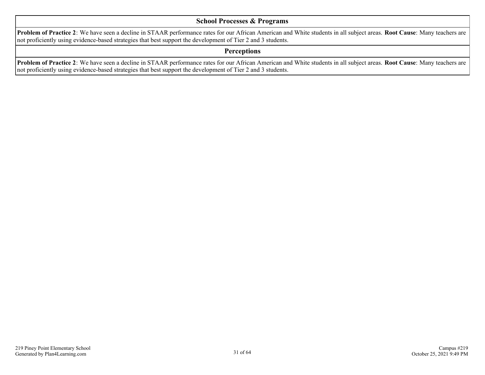#### **School Processes & Programs**

**Problem of Practice 2**: We have seen a decline in STAAR performance rates for our African American and White students in all subject areas. **Root Cause**: Many teachers are not proficiently using evidence-based strategies that best support the development of Tier 2 and 3 students.

#### **Perceptions**

**Problem of Practice 2**: We have seen a decline in STAAR performance rates for our African American and White students in all subject areas. **Root Cause**: Many teachers are not proficiently using evidence-based strategies that best support the development of Tier 2 and 3 students.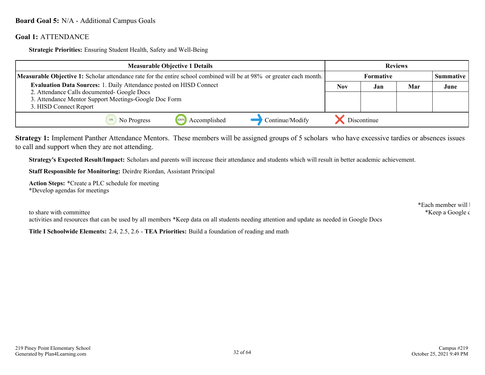#### **Board Goal 5:** N/A - Additional Campus Goals

#### **Goal 1:** ATTENDANCE

**Strategic Priorities:** Ensuring Student Health, Safety and Well-Being

| <b>Measurable Objective 1 Details</b>                                                                                          |                 | <b>Reviews</b> |                                      |     |      |  |
|--------------------------------------------------------------------------------------------------------------------------------|-----------------|----------------|--------------------------------------|-----|------|--|
| <b>Measurable Objective 1:</b> Scholar attendance rate for the entire school combined will be at 98% or greater each month.    |                 |                | <b>Formative</b><br><b>Summative</b> |     |      |  |
| <b>Evaluation Data Sources: 1. Daily Attendance posted on HISD Connect</b>                                                     |                 | <b>Nov</b>     | Jan                                  | Mar | June |  |
| 2. Attendance Calls documented- Google Docs<br>3. Attendance Mentor Support Meetings-Google Doc Form<br>3. HISD Connect Report |                 |                |                                      |     |      |  |
| Accomplished<br>100%<br>No Progress                                                                                            | Continue/Modify |                | Discontinue                          |     |      |  |

**Strategy 1:** Implement Panther Attendance Mentors. These members will be assigned groups of 5 scholars who have excessive tardies or absences issues to call and support when they are not attending.

**Strategy's Expected Result/Impact:** Scholars and parents will increase their attendance and students which will result in better academic achievement.

**Staff Responsible for Monitoring:** Deirdre Riordan, Assistant Principal

**Action Steps:** \*Create a PLC schedule for meeting \*Develop agendas for meetings

to share with committee  $*$ Keep a Google c

 $*$ Each member will bring  $*$ Each member will be ideal on  $*$ 

activities and resources that can be used by all members \*Keep data on all students needing attention and update as needed in Google Docs

**Title I Schoolwide Elements:** 2.4, 2.5, 2.6 - **TEA Priorities:** Build a foundation of reading and math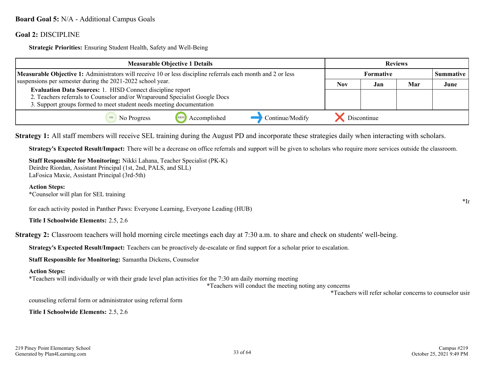#### **Board Goal 5:** N/A - Additional Campus Goals

#### **Goal 2:** DISCIPLINE

**Strategic Priorities:** Ensuring Student Health, Safety and Well-Being

| <b>Measurable Objective 1 Details</b>                                                                                                                                                                                    | <b>Reviews</b> |                  |     |      |
|--------------------------------------------------------------------------------------------------------------------------------------------------------------------------------------------------------------------------|----------------|------------------|-----|------|
| Measurable Objective 1: Administrators will receive 10 or less discipline referrals each month and 2 or less                                                                                                             |                | <b>Summative</b> |     |      |
| suspensions per semester during the 2021-2022 school year.                                                                                                                                                               | Nov            | Jan              | Mar | June |
| <b>Evaluation Data Sources: 1. HISD Connect discipline report</b><br>2. Teachers referrals to Counselor and/or Wraparound Specialist Google Docs<br>3. Support groups formed to meet student needs meeting documentation |                |                  |     |      |
| 100%<br>Continue/Modify<br>Accomplished<br>No Progress                                                                                                                                                                   | Discontinue    |                  |     |      |

**Strategy 1:** All staff members will receive SEL training during the August PD and incorporate these strategies daily when interacting with scholars.

**Strategy's Expected Result/Impact:** There will be a decrease on office referrals and support will be given to scholars who require more services outside the classroom.

**Staff Responsible for Monitoring:** Nikki Lahana, Teacher Specialist (PK-K) Deirdre Riordan, Assistant Principal (1st, 2nd, PALS, and SLL) LaFosica Maxie, Assistant Principal (3rd-5th)

**Action Steps:** \*Counselor will plan for SEL training  $*$ Instructional sheet is a sheet in  $*$ Instructional sheet in  $*$ Instructional sheet in  $*$ Instructional sheet in  $*$ Instructional sheet in  $*$ Instructional sheet in  $*$ Instructional sheet in  $*$ Instructional sheet in  $*$ 

for each activity posted in Panther Paws: Everyone Learning, Everyone Leading (HUB)

**Title I Schoolwide Elements:** 2.5, 2.6

**Strategy 2:** Classroom teachers will hold morning circle meetings each day at 7:30 a.m. to share and check on students' well-being.

**Strategy's Expected Result/Impact:** Teachers can be proactively de-escalate or find support for a scholar prior to escalation.

**Staff Responsible for Monitoring:** Samantha Dickens, Counselor

#### **Action Steps:**

\*Teachers will individually or with their grade level plan activities for the 7:30 am daily morning meeting

\*Teachers will conduct the meeting noting any concerns

\*Teachers will refer scholar concerns to counselor using

counseling referral form or administrator using referral form

**Title I Schoolwide Elements:** 2.5, 2.6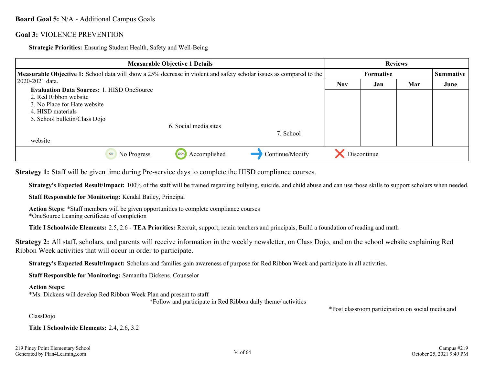#### **Goal 3:** VIOLENCE PREVENTION

**Strategic Priorities:** Ensuring Student Health, Safety and Well-Being

| <b>Measurable Objective 1 Details</b>                                                                                                                            | <b>Reviews</b>   |             |     |           |
|------------------------------------------------------------------------------------------------------------------------------------------------------------------|------------------|-------------|-----|-----------|
| <b>Measurable Objective 1:</b> School data will show a 25% decrease in violent and safety scholar issues as compared to the                                      | <b>Formative</b> |             |     | Summative |
| 12020-2021 data.                                                                                                                                                 | <b>Nov</b>       | Jan         | Mar | June      |
| <b>Evaluation Data Sources: 1. HISD OneSource</b><br>2. Red Ribbon website<br>3. No Place for Hate website<br>4. HISD materials<br>5. School bulletin/Class Dojo |                  |             |     |           |
| 6. Social media sites<br>7. School<br>website                                                                                                                    |                  |             |     |           |
| Continue/Modify<br>Accomplished<br>100%<br>No Progress<br>0%                                                                                                     |                  | Discontinue |     |           |

**Strategy 1:** Staff will be given time during Pre-service days to complete the HISD compliance courses.

**Strategy's Expected Result/Impact:** 100% of the staff will be trained regarding bullying, suicide, and child abuse and can use those skills to support scholars when needed.

**Staff Responsible for Monitoring:** Kendal Bailey, Principal

**Action Steps:** \*Staff members will be given opportunities to complete compliance courses \*OneSource Leaning certificate of completion

**Title I Schoolwide Elements:** 2.5, 2.6 - **TEA Priorities:** Recruit, support, retain teachers and principals, Build a foundation of reading and math

**Strategy 2:** All staff, scholars, and parents will receive information in the weekly newsletter, on Class Dojo, and on the school website explaining Red Ribbon Week activities that will occur in order to participate.

**Strategy's Expected Result/Impact:** Scholars and families gain awareness of purpose for Red Ribbon Week and participate in all activities.

**Staff Responsible for Monitoring:** Samantha Dickens, Counselor

#### **Action Steps:**

\*Ms. Dickens will develop Red Ribbon Week Plan and present to staff

\*Follow and participate in Red Ribbon daily theme/ activities

ClassDojo

\*Post classroom participation on social media and

**Title I Schoolwide Elements:** 2.4, 2.6, 3.2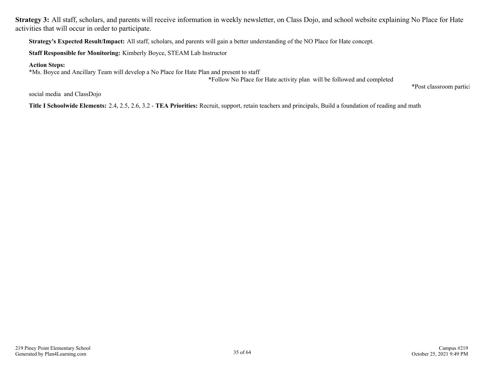**Strategy 3:** All staff, scholars, and parents will receive information in weekly newsletter, on Class Dojo, and school website explaining No Place for Hate activities that will occur in order to participate.

**Strategy's Expected Result/Impact:** All staff, scholars, and parents will gain a better understanding of the NO Place for Hate concept.

**Staff Responsible for Monitoring:** Kimberly Boyce, STEAM Lab Instructor

#### **Action Steps:**

\*Ms. Boyce and Ancillary Team will develop a No Place for Hate Plan and present to staff

\*Follow No Place for Hate activity plan will be followed and completed

\*Post classroom partici

social media and ClassDojo

**Title I Schoolwide Elements:** 2.4, 2.5, 2.6, 3.2 - **TEA Priorities:** Recruit, support, retain teachers and principals, Build a foundation of reading and math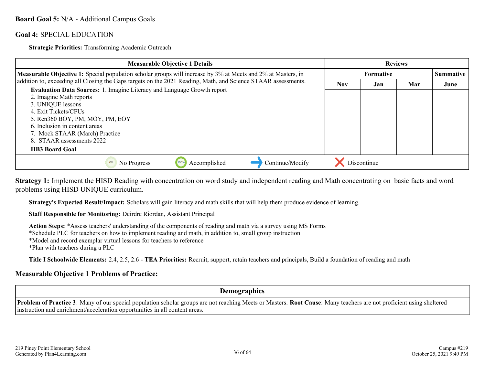#### **Board Goal 5:** N/A - Additional Campus Goals

#### **Goal 4:** SPECIAL EDUCATION

**Strategic Priorities:** Transforming Academic Outreach

| <b>Measurable Objective 1 Details</b>                                                                         | <b>Reviews</b> |                                      |     |      |  |
|---------------------------------------------------------------------------------------------------------------|----------------|--------------------------------------|-----|------|--|
| Measurable Objective 1: Special population scholar groups will increase by 3% at Meets and 2% at Masters, in  |                | <b>Summative</b><br><b>Formative</b> |     |      |  |
| addition to, exceeding all Closing the Gaps targets on the 2021 Reading, Math, and Science STAAR assessments. | <b>Nov</b>     | Jan                                  | Mar | June |  |
| <b>Evaluation Data Sources:</b> 1. Imagine Literacy and Language Growth report                                |                |                                      |     |      |  |
| 2. Imagine Math reports                                                                                       |                |                                      |     |      |  |
| 3. UNIQUE lessons                                                                                             |                |                                      |     |      |  |
| 4. Exit Tickets/CFUs                                                                                          |                |                                      |     |      |  |
| 5. Ren360 BOY, PM, MOY, PM, EOY                                                                               |                |                                      |     |      |  |
| 6. Inclusion in content areas                                                                                 |                |                                      |     |      |  |
| 7. Mock STAAR (March) Practice                                                                                |                |                                      |     |      |  |
| 8. STAAR assessments 2022                                                                                     |                |                                      |     |      |  |
| <b>HB3 Board Goal</b>                                                                                         |                |                                      |     |      |  |
| Continue/Modify<br>Accomplished<br>0%<br>No Progress                                                          |                | Discontinue                          |     |      |  |

**Strategy 1:** Implement the HISD Reading with concentration on word study and independent reading and Math concentrating on basic facts and word problems using HISD UNIQUE curriculum.

**Strategy's Expected Result/Impact:** Scholars will gain literacy and math skills that will help them produce evidence of learning.

**Staff Responsible for Monitoring:** Deirdre Riordan, Assistant Principal

**Action Steps:** \*Assess teachers' understanding of the components of reading and math via a survey using MS Forms \*Schedule PLC for teachers on how to implement reading and math, in addition to, small group instruction \*Model and record exemplar virtual lessons for teachers to reference \*Plan with teachers during a PLC

**Title I Schoolwide Elements:** 2.4, 2.5, 2.6 - **TEA Priorities:** Recruit, support, retain teachers and principals, Build a foundation of reading and math

#### **Measurable Objective 1 Problems of Practice:**

**Demographics**

**Problem of Practice 3**: Many of our special population scholar groups are not reaching Meets or Masters. **Root Cause**: Many teachers are not proficient using sheltered instruction and enrichment/acceleration opportunities in all content areas.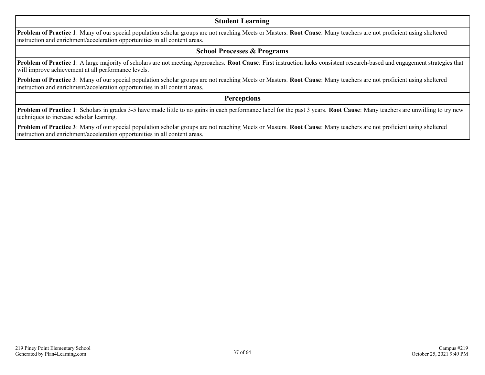#### **Student Learning**

**Problem of Practice 1**: Many of our special population scholar groups are not reaching Meets or Masters. **Root Cause**: Many teachers are not proficient using sheltered instruction and enrichment/acceleration opportunities in all content areas.

#### **School Processes & Programs**

**Problem of Practice 1**: A large majority of scholars are not meeting Approaches. **Root Cause**: First instruction lacks consistent research-based and engagement strategies that will improve achievement at all performance levels.

**Problem of Practice 3**: Many of our special population scholar groups are not reaching Meets or Masters. **Root Cause**: Many teachers are not proficient using sheltered instruction and enrichment/acceleration opportunities in all content areas.

#### **Perceptions**

**Problem of Practice 1**: Scholars in grades 3-5 have made little to no gains in each performance label for the past 3 years. **Root Cause**: Many teachers are unwilling to try new techniques to increase scholar learning.

**Problem of Practice 3**: Many of our special population scholar groups are not reaching Meets or Masters. **Root Cause**: Many teachers are not proficient using sheltered instruction and enrichment/acceleration opportunities in all content areas.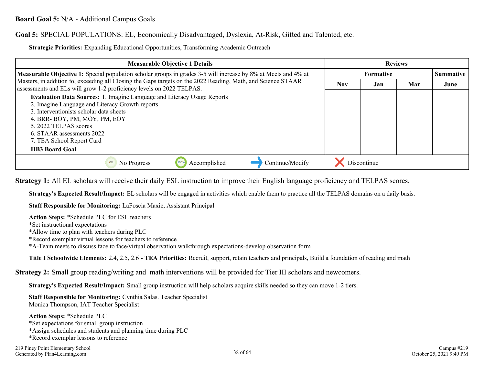#### **Board Goal 5:** N/A - Additional Campus Goals

#### **Goal 5:** SPECIAL POPULATIONS: EL, Economically Disadvantaged, Dyslexia, At-Risk, Gifted and Talented, etc.

**Strategic Priorities:** Expanding Educational Opportunities, Transforming Academic Outreach

| <b>Measurable Objective 1 Details</b>                                                                                                                                                                 | <b>Reviews</b>   |             |     |                  |
|-------------------------------------------------------------------------------------------------------------------------------------------------------------------------------------------------------|------------------|-------------|-----|------------------|
| Measurable Objective 1: Special population scholar groups in grades 3-5 will increase by 8% at Meets and 4% at                                                                                        | <b>Formative</b> |             |     | <b>Summative</b> |
| Masters, in addition to, exceeding all Closing the Gaps targets on the 2022 Reading, Math, and Science STAAR<br>assessments and ELs will grow 1-2 proficiency levels on 2022 TELPAS.                  | <b>Nov</b>       | Jan         | Mar | June             |
| Evaluation Data Sources: 1. Imagine Language and Literacy Usage Reports<br>2. Imagine Language and Literacy Growth reports<br>3. Interventionists scholar data sheets<br>4. BRR-BOY, PM, MOY, PM, EOY |                  |             |     |                  |
| 5. 2022 TELPAS scores<br>6. STAAR assessments 2022<br>7. TEA School Report Card<br><b>HB3</b> Board Goal                                                                                              |                  |             |     |                  |
| Continue/Modify<br>Accomplished<br>0%<br>No Progress                                                                                                                                                  |                  | Discontinue |     |                  |

**Strategy 1:** All EL scholars will receive their daily ESL instruction to improve their English language proficiency and TELPAS scores.

**Strategy's Expected Result/Impact:** EL scholars will be engaged in activities which enable them to practice all the TELPAS domains on a daily basis.

**Staff Responsible for Monitoring:** LaFoscia Maxie, Assistant Principal

**Action Steps:** \*Schedule PLC for ESL teachers \*Set instructional expectations \*Allow time to plan with teachers during PLC \*Record exemplar virtual lessons for teachers to reference \*A-Team meets to discuss face to face/virtual observation walkthrough expectations-develop observation form

**Title I Schoolwide Elements:** 2.4, 2.5, 2.6 - **TEA Priorities:** Recruit, support, retain teachers and principals, Build a foundation of reading and math

**Strategy 2:** Small group reading/writing and math interventions will be provided for Tier III scholars and newcomers.

**Strategy's Expected Result/Impact:** Small group instruction will help scholars acquire skills needed so they can move 1-2 tiers.

**Staff Responsible for Monitoring:** Cynthia Salas. Teacher Specialist Monica Thompson, IAT Teacher Specialist

**Action Steps:** \*Schedule PLC \*Set expectations for small group instruction \*Assign schedules and students and planning time during PLC \*Record exemplar lessons to reference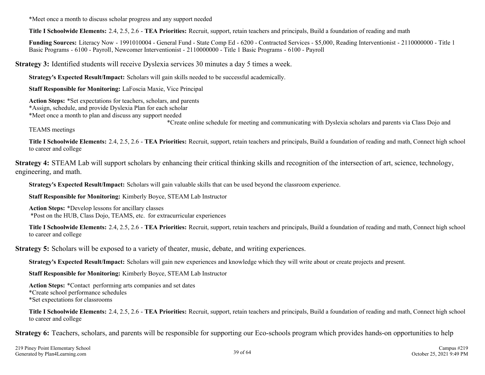\*Meet once a month to discuss scholar progress and any support needed

**Title I Schoolwide Elements:** 2.4, 2.5, 2.6 - **TEA Priorities:** Recruit, support, retain teachers and principals, Build a foundation of reading and math

**Funding Sources:** Literacy Now - 1991010004 - General Fund - State Comp Ed - 6200 - Contracted Services - \$5,000, Reading Interventionist - 2110000000 - Title 1 Basic Programs - 6100 - Payroll, Newcomer Interventionist - 2110000000 - Title 1 Basic Programs - 6100 - Payroll

**Strategy 3:** Identified students will receive Dyslexia services 30 minutes a day 5 times a week.

**Strategy's Expected Result/Impact:** Scholars will gain skills needed to be successful academically.

**Staff Responsible for Monitoring:** LaFoscia Maxie, Vice Principal

**Action Steps:** \*Set expectations for teachers, scholars, and parents \*Assign, schedule, and provide Dyslexia Plan for each scholar

\*Meet once a month to plan and discuss any support needed

\*Create online schedule for meeting and communicating with Dyslexia scholars and parents via Class Dojo and

TEAMS meetings

**Title I Schoolwide Elements:** 2.4, 2.5, 2.6 - **TEA Priorities:** Recruit, support, retain teachers and principals, Build a foundation of reading and math, Connect high school to career and college

**Strategy 4:** STEAM Lab will support scholars by enhancing their critical thinking skills and recognition of the intersection of art, science, technology, engineering, and math.

**Strategy's Expected Result/Impact:** Scholars will gain valuable skills that can be used beyond the classroom experience.

**Staff Responsible for Monitoring:** Kimberly Boyce, STEAM Lab Instructor

**Action Steps:** \*Develop lessons for ancillary classes \*Post on the HUB, Class Dojo, TEAMS, etc. for extracurricular experiences

**Title I Schoolwide Elements:** 2.4, 2.5, 2.6 - **TEA Priorities:** Recruit, support, retain teachers and principals, Build a foundation of reading and math, Connect high school to career and college

**Strategy 5:** Scholars will be exposed to a variety of theater, music, debate, and writing experiences.

**Strategy's Expected Result/Impact:** Scholars will gain new experiences and knowledge which they will write about or create projects and present.

**Staff Responsible for Monitoring:** Kimberly Boyce, STEAM Lab Instructor

**Action Steps:** \*Contact performing arts companies and set dates \*Create school performance schedules \*Set expectations for classrooms

**Strategy 6:** Teachers, scholars, and parents will be responsible for supporting our Eco-schools program which provides hands-on opportunities to help

**Title I Schoolwide Elements:** 2.4, 2.5, 2.6 - **TEA Priorities:** Recruit, support, retain teachers and principals, Build a foundation of reading and math, Connect high school to career and college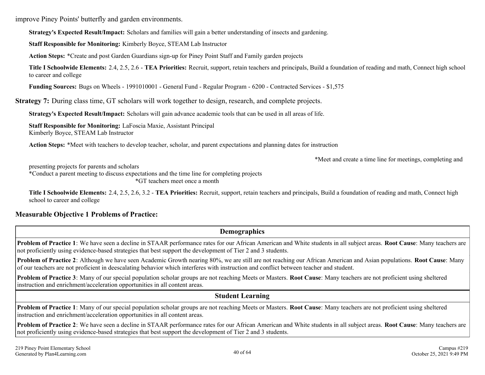improve Piney Points' butterfly and garden environments.

**Strategy's Expected Result/Impact:** Scholars and families will gain a better understanding of insects and gardening.

**Staff Responsible for Monitoring:** Kimberly Boyce, STEAM Lab Instructor

**Action Steps:** \*Create and post Garden Guardians sign-up for Piney Point Staff and Family garden projects

**Title I Schoolwide Elements:** 2.4, 2.5, 2.6 - **TEA Priorities:** Recruit, support, retain teachers and principals, Build a foundation of reading and math, Connect high school to career and college

**Funding Sources:** Bugs on Wheels - 1991010001 - General Fund - Regular Program - 6200 - Contracted Services - \$1,575

**Strategy 7:** During class time, GT scholars will work together to design, research, and complete projects.

**Strategy's Expected Result/Impact:** Scholars will gain advance academic tools that can be used in all areas of life.

**Staff Responsible for Monitoring:** LaFoscia Maxie, Assistant Principal Kimberly Boyce, STEAM Lab Instructor

**Action Steps:** \*Meet with teachers to develop teacher, scholar, and parent expectations and planning dates for instruction

\*Meet and create a time line for meetings, completing and

presenting projects for parents and scholars

\*Conduct a parent meeting to discuss expectations and the time line for completing projects \*GT teachers meet once a month

**Title I Schoolwide Elements:** 2.4, 2.5, 2.6, 3.2 - **TEA Priorities:** Recruit, support, retain teachers and principals, Build a foundation of reading and math, Connect high school to career and college

#### **Measurable Objective 1 Problems of Practice:**

**Demographics**

**Problem of Practice 1**: We have seen a decline in STAAR performance rates for our African American and White students in all subject areas. **Root Cause**: Many teachers are not proficiently using evidence-based strategies that best support the development of Tier 2 and 3 students.

**Problem of Practice 2**: Although we have seen Academic Growth nearing 80%, we are still are not reaching our African American and Asian populations. **Root Cause**: Many of our teachers are not proficient in deescalating behavior which interferes with instruction and conflict between teacher and student.

**Problem of Practice 3**: Many of our special population scholar groups are not reaching Meets or Masters. **Root Cause**: Many teachers are not proficient using sheltered instruction and enrichment/acceleration opportunities in all content areas.

#### **Student Learning**

**Problem of Practice 1**: Many of our special population scholar groups are not reaching Meets or Masters. **Root Cause**: Many teachers are not proficient using sheltered instruction and enrichment/acceleration opportunities in all content areas.

**Problem of Practice 2**: We have seen a decline in STAAR performance rates for our African American and White students in all subject areas. **Root Cause**: Many teachers are not proficiently using evidence-based strategies that best support the development of Tier 2 and 3 students.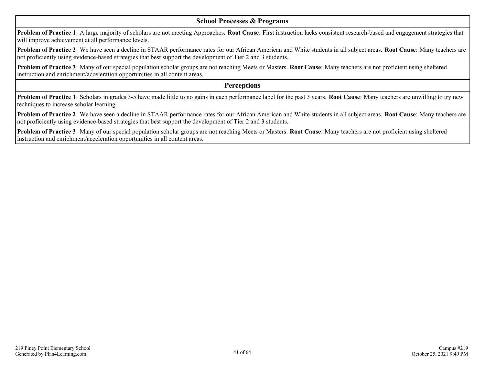#### **School Processes & Programs**

**Problem of Practice 1**: A large majority of scholars are not meeting Approaches. **Root Cause**: First instruction lacks consistent research-based and engagement strategies that will improve achievement at all performance levels.

**Problem of Practice 2**: We have seen a decline in STAAR performance rates for our African American and White students in all subject areas. **Root Cause**: Many teachers are not proficiently using evidence-based strategies that best support the development of Tier 2 and 3 students.

**Problem of Practice 3**: Many of our special population scholar groups are not reaching Meets or Masters. **Root Cause**: Many teachers are not proficient using sheltered instruction and enrichment/acceleration opportunities in all content areas.

#### **Perceptions**

**Problem of Practice 1**: Scholars in grades 3-5 have made little to no gains in each performance label for the past 3 years. **Root Cause**: Many teachers are unwilling to try new techniques to increase scholar learning.

**Problem of Practice 2**: We have seen a decline in STAAR performance rates for our African American and White students in all subject areas. **Root Cause**: Many teachers are not proficiently using evidence-based strategies that best support the development of Tier 2 and 3 students.

**Problem of Practice 3**: Many of our special population scholar groups are not reaching Meets or Masters. **Root Cause**: Many teachers are not proficient using sheltered instruction and enrichment/acceleration opportunities in all content areas.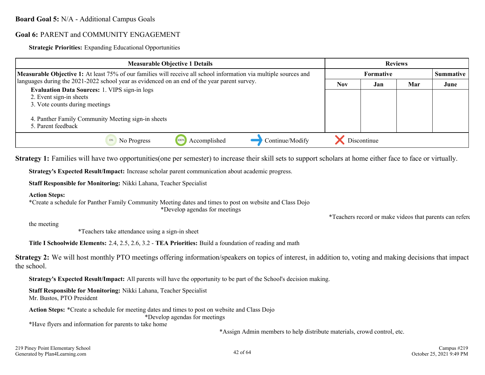#### **Board Goal 5:** N/A - Additional Campus Goals

#### **Goal 6:** PARENT and COMMUNITY ENGAGEMENT

**Strategic Priorities:** Expanding Educational Opportunities

| <b>Measurable Objective 1 Details</b>                                                                                                                                                                                    | <b>Reviews</b> |                                 |     |      |  |
|--------------------------------------------------------------------------------------------------------------------------------------------------------------------------------------------------------------------------|----------------|---------------------------------|-----|------|--|
| <b>Measurable Objective 1:</b> At least 75% of our families will receive all school information via multiple sources and<br>languages during the 2021-2022 school year as evidenced on an end of the year parent survey. |                | <b>Formative</b><br>Summative ' |     |      |  |
|                                                                                                                                                                                                                          |                | Jan                             | Mar | June |  |
| <b>Evaluation Data Sources: 1. VIPS sign-in logs</b><br>2. Event sign-in sheets<br>3. Vote counts during meetings<br>4. Panther Family Community Meeting sign-in sheets<br>5. Parent feedback                            |                |                                 |     |      |  |
| Continue/Modify<br>Accomplished<br>No Progress<br>0%                                                                                                                                                                     |                | Discontinue                     |     |      |  |

**Strategy 1:** Families will have two opportunities(one per semester) to increase their skill sets to support scholars at home either face to face or virtually.

**Strategy's Expected Result/Impact:** Increase scholar parent communication about academic progress.

**Staff Responsible for Monitoring:** Nikki Lahana, Teacher Specialist

#### **Action Steps:**

\*Create a schedule for Panther Family Community Meeting dates and times to post on website and Class Dojo

\*Develop agendas for meetings

\*Teachers record or make videos that parents can refere

the meeting

\*Teachers take attendance using a sign-in sheet

**Title I Schoolwide Elements:** 2.4, 2.5, 2.6, 3.2 - **TEA Priorities:** Build a foundation of reading and math

**Strategy 2:** We will host monthly PTO meetings offering information/speakers on topics of interest, in addition to, voting and making decisions that impact the school.

**Strategy's Expected Result/Impact:** All parents will have the opportunity to be part of the School's decision making.

#### **Staff Responsible for Monitoring:** Nikki Lahana, Teacher Specialist

Mr. Bustos, PTO President

**Action Steps:** \*Create a schedule for meeting dates and times to post on website and Class Dojo

\*Develop agendas for meetings

\*Have flyers and information for parents to take home

\*Assign Admin members to help distribute materials, crowd control, etc.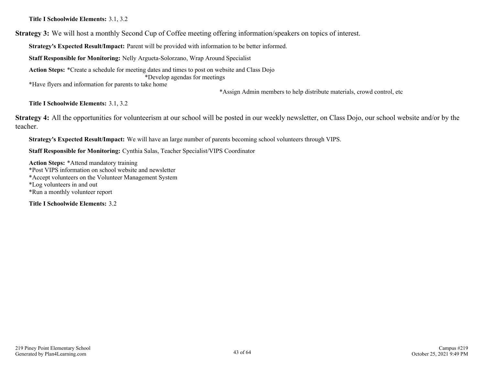**Title I Schoolwide Elements:** 3.1, 3.2

**Strategy 3:** We will host a monthly Second Cup of Coffee meeting offering information/speakers on topics of interest.

**Strategy's Expected Result/Impact:** Parent will be provided with information to be better informed.

**Staff Responsible for Monitoring:** Nelly Argueta-Solorzano, Wrap Around Specialist

**Action Steps:** \*Create a schedule for meeting dates and times to post on website and Class Dojo \*Develop agendas for meetings

\*Have flyers and information for parents to take home

\*Assign Admin members to help distribute materials, crowd control, etc

**Title I Schoolwide Elements:** 3.1, 3.2

**Strategy 4:** All the opportunities for volunteerism at our school will be posted in our weekly newsletter, on Class Dojo, our school website and/or by the teacher.

**Strategy's Expected Result/Impact:** We will have an large number of parents becoming school volunteers through VIPS.

**Staff Responsible for Monitoring:** Cynthia Salas, Teacher Specialist/VIPS Coordinator

**Action Steps:** \*Attend mandatory training \*Post VIPS information on school website and newsletter \*Accept volunteers on the Volunteer Management System \*Log volunteers in and out \*Run a monthly volunteer report

**Title I Schoolwide Elements:** 3.2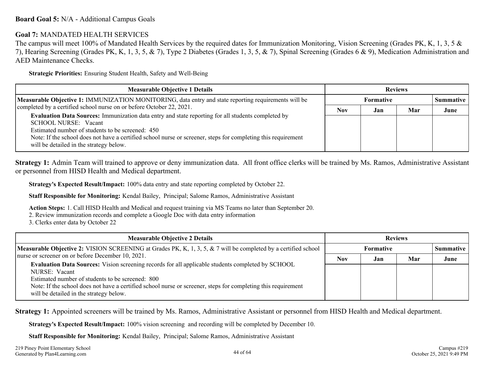#### **Board Goal 5:** N/A - Additional Campus Goals

#### **Goal 7:** MANDATED HEALTH SERVICES

The campus will meet 100% of Mandated Health Services by the required dates for Immunization Monitoring, Vision Screening (Grades PK, K, 1, 3, 5 & 7), Hearing Screening (Grades PK, K, 1, 3, 5, & 7), Type 2 Diabetes (Grades 1, 3, 5, & 7), Spinal Screening (Grades 6 & 9), Medication Administration and AED Maintenance Checks.

**Strategic Priorities:** Ensuring Student Health, Safety and Well-Being

| <b>Measurable Objective 1 Details</b>                                                                                                                                                                                                                                                                                                                    | <b>Reviews</b> |                  |     |                  |
|----------------------------------------------------------------------------------------------------------------------------------------------------------------------------------------------------------------------------------------------------------------------------------------------------------------------------------------------------------|----------------|------------------|-----|------------------|
| <b>Measurable Objective 1:</b> IMMUNIZATION MONITORING, data entry and state reporting requirements will be                                                                                                                                                                                                                                              |                | <b>Formative</b> |     | <b>Summative</b> |
| completed by a certified school nurse on or before October 22, 2021.                                                                                                                                                                                                                                                                                     | <b>Nov</b>     | Jan              | Mar | June             |
| <b>Evaluation Data Sources:</b> Immunization data entry and state reporting for all students completed by<br><b>SCHOOL NURSE:</b> Vacant<br>Estimated number of students to be screened: 450<br>Note: If the school does not have a certified school nurse or screener, steps for completing this requirement<br>will be detailed in the strategy below. |                |                  |     |                  |

**Strategy 1:** Admin Team will trained to approve or deny immunization data. All front office clerks will be trained by Ms. Ramos, Administrative Assistant or personnel from HISD Health and Medical department.

**Strategy's Expected Result/Impact:** 100% data entry and state reporting completed by October 22.

**Staff Responsible for Monitoring:** Kendal Bailey, Principal; Salome Ramos, Administrative Assistant

**Action Steps:** 1. Call HISD Health and Medical and request training via MS Teams no later than September 20.

2. Review immunization records and complete a Google Doc with data entry information

3. Clerks enter data by October 22

| <b>Measurable Objective 2 Details</b>                                                                                                                    | <b>Reviews</b> |                               |     |      |  |
|----------------------------------------------------------------------------------------------------------------------------------------------------------|----------------|-------------------------------|-----|------|--|
| <b>Measurable Objective 2:</b> VISION SCREENING at Grades PK, K, 1, 3, 5, & 7 will be completed by a certified school                                    |                | Formative<br><b>Summative</b> |     |      |  |
| nurse or screener on or before December 10, 2021.                                                                                                        | <b>Nov</b>     | Jan.                          | Mar | June |  |
| Evaluation Data Sources: Vision screening records for all applicable students completed by SCHOOL<br>NURSE: Vacant                                       |                |                               |     |      |  |
| Estimated number of students to be screened: 800                                                                                                         |                |                               |     |      |  |
| Note: If the school does not have a certified school nurse or screener, steps for completing this requirement<br>will be detailed in the strategy below. |                |                               |     |      |  |

**Strategy 1:** Appointed screeners will be trained by Ms. Ramos, Administrative Assistant or personnel from HISD Health and Medical department.

**Strategy's Expected Result/Impact:** 100% vision screening and recording will be completed by December 10.

**Staff Responsible for Monitoring:** Kendal Bailey, Principal; Salome Ramos, Administrative Assistant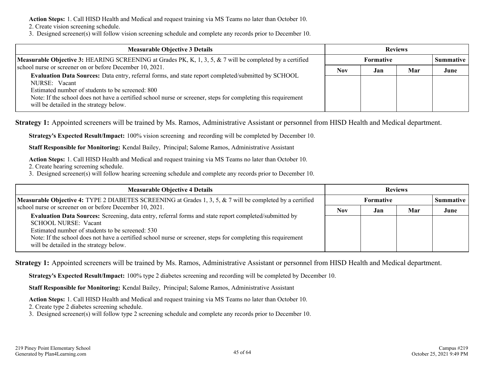**Action Steps:** 1. Call HISD Health and Medical and request training via MS Teams no later than October 10.

2. Create vision screening schedule.

3. Designed screener(s) will follow vision screening schedule and complete any records prior to December 10.

| <b>Measurable Objective 3 Details</b>                                                                                | <b>Reviews</b> |           |     |      |  |
|----------------------------------------------------------------------------------------------------------------------|----------------|-----------|-----|------|--|
| <b>Measurable Objective 3:</b> HEARING SCREENING at Grades PK, K, 1, 3, 5, & 7 will be completed by a certified      |                | Formative |     |      |  |
| school nurse or screener on or before December 10, 2021.                                                             | <b>Nov</b>     | Jan       | Mar | June |  |
| Evaluation Data Sources: Data entry, referral forms, and state report completed/submitted by SCHOOL<br>NURSE: Vacant |                |           |     |      |  |
| Estimated number of students to be screened: 800                                                                     |                |           |     |      |  |
| Note: If the school does not have a certified school nurse or screener, steps for completing this requirement        |                |           |     |      |  |
| will be detailed in the strategy below.                                                                              |                |           |     |      |  |

**Strategy 1:** Appointed screeners will be trained by Ms. Ramos, Administrative Assistant or personnel from HISD Health and Medical department.

**Strategy's Expected Result/Impact:** 100% vision screening and recording will be completed by December 10.

**Staff Responsible for Monitoring:** Kendal Bailey, Principal; Salome Ramos, Administrative Assistant

**Action Steps:** 1. Call HISD Health and Medical and request training via MS Teams no later than October 10.

2. Create hearing screening schedule.

3. Designed screener(s) will follow hearing screening schedule and complete any records prior to December 10.

| <b>Measurable Objective 4 Details</b>                                                                                                                                                             | <b>Reviews</b> |                  |     |      |
|---------------------------------------------------------------------------------------------------------------------------------------------------------------------------------------------------|----------------|------------------|-----|------|
| <b>Measurable Objective 4:</b> TYPE 2 DIABETES SCREENING at Grades 1, 3, 5, $\&$ 7 will be completed by a certified                                                                               |                | <b>Formative</b> |     |      |
| school nurse or screener on or before December 10, 2021.<br>Evaluation Data Sources: Screening, data entry, referral forms and state report completed/submitted by<br><b>SCHOOL NURSE:</b> Vacant | <b>Nov</b>     | Jan              | Mar | June |
|                                                                                                                                                                                                   |                |                  |     |      |
| Estimated number of students to be screened: 530                                                                                                                                                  |                |                  |     |      |
| Note: If the school does not have a certified school nurse or screener, steps for completing this requirement<br>will be detailed in the strategy below.                                          |                |                  |     |      |

**Strategy 1:** Appointed screeners will be trained by Ms. Ramos, Administrative Assistant or personnel from HISD Health and Medical department.

**Strategy's Expected Result/Impact:** 100% type 2 diabetes screening and recording will be completed by December 10.

**Staff Responsible for Monitoring:** Kendal Bailey, Principal; Salome Ramos, Administrative Assistant

**Action Steps:** 1. Call HISD Health and Medical and request training via MS Teams no later than October 10.

2. Create type 2 diabetes screening schedule.

3. Designed screener(s) will follow type 2 screening schedule and complete any records prior to December 10.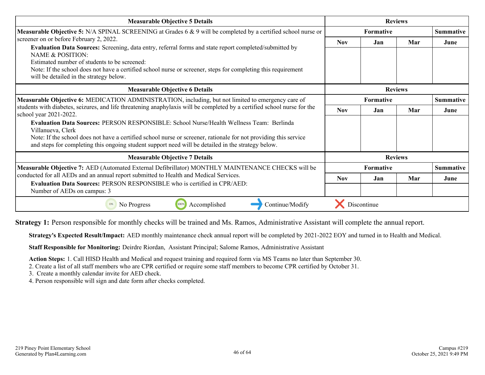| <b>Measurable Objective 5 Details</b>                                                                                                                                                                                  | <b>Reviews</b>   |                  |     |                  |
|------------------------------------------------------------------------------------------------------------------------------------------------------------------------------------------------------------------------|------------------|------------------|-----|------------------|
| <b>Measurable Objective 5:</b> N/A SPINAL SCREENING at Grades 6 & 9 will be completed by a certified school nurse or                                                                                                   | <b>Formative</b> |                  |     | <b>Summative</b> |
| screener on or before February 2, 2022.                                                                                                                                                                                | <b>Nov</b>       | Jan              | Mar | June             |
| <b>Evaluation Data Sources:</b> Screening, data entry, referral forms and state report completed/submitted by<br>NAME & POSITION:                                                                                      |                  |                  |     |                  |
| Estimated number of students to be screened:                                                                                                                                                                           |                  |                  |     |                  |
| Note: If the school does not have a certified school nurse or screener, steps for completing this requirement<br>will be detailed in the strategy below.                                                               |                  |                  |     |                  |
| <b>Measurable Objective 6 Details</b>                                                                                                                                                                                  | <b>Reviews</b>   |                  |     |                  |
| <b>Measurable Objective 6:</b> MEDICATION ADMINISTRATION, including, but not limited to emergency care of                                                                                                              |                  | <b>Summative</b> |     |                  |
| students with diabetes, seizures, and life threatening anaphylaxis will be completed by a certified school nurse for the<br>school year 2021-2022.                                                                     |                  | Jan              | Mar | June             |
| <b>Evaluation Data Sources: PERSON RESPONSIBLE: School Nurse/Health Wellness Team: Berlinda</b><br>Villanueva, Clerk                                                                                                   |                  |                  |     |                  |
| Note: If the school does not have a certified school nurse or screener, rationale for not providing this service<br>and steps for completing this ongoing student support need will be detailed in the strategy below. |                  |                  |     |                  |
| <b>Measurable Objective 7 Details</b>                                                                                                                                                                                  | <b>Reviews</b>   |                  |     |                  |
| Measurable Objective 7: AED (Automated External Defibrillator) MONTHLY MAINTENANCE CHECKS will be                                                                                                                      |                  | <b>Formative</b> |     | <b>Summative</b> |
| conducted for all AEDs and an annual report submitted to Health and Medical Services.                                                                                                                                  |                  | Jan              | Mar | June             |
| <b>Evaluation Data Sources: PERSON RESPONSIBLE who is certified in CPR/AED:</b><br>Number of AEDs on campus: 3                                                                                                         |                  |                  |     |                  |
| Accomplished<br>Continue/Modify<br>No Progress                                                                                                                                                                         |                  | Discontinue      |     |                  |

**Strategy 1:** Person responsible for monthly checks will be trained and Ms. Ramos, Administrative Assistant will complete the annual report.

**Strategy's Expected Result/Impact:** AED monthly maintenance check annual report will be completed by 2021-2022 EOY and turned in to Health and Medical.

**Staff Responsible for Monitoring:** Deirdre Riordan, Assistant Principal; Salome Ramos, Administrative Assistant

**Action Steps:** 1. Call HISD Health and Medical and request training and required form via MS Teams no later than September 30.

2. Create a list of all staff members who are CPR certified or require some staff members to become CPR certified by October 31.

3. Create a monthly calendar invite for AED check.

4. Person responsible will sign and date form after checks completed.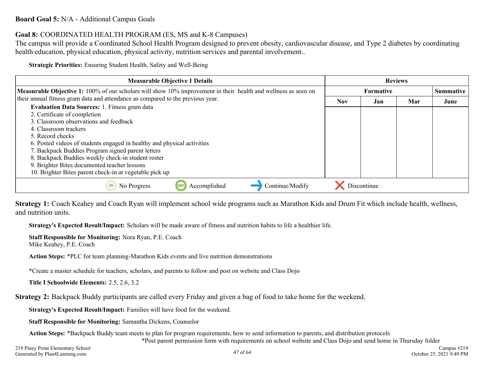#### **Board Goal 5:** N/A - Additional Campus Goals

#### **Goal 8:** COORDINATED HEALTH PROGRAM (ES, MS and K-8 Campuses)

The campus will provide a Coordinated School Health Program designed to prevent obesity, cardiovascular disease, and Type 2 diabetes by coordinating health education, physical education, physical activity, nutrition services and parental involvement..

**Strategic Priorities:** Ensuring Student Health, Safety and Well-Being

| <b>Measurable Objective 1 Details</b>                                                                          | <b>Reviews</b> |                  |     |      |
|----------------------------------------------------------------------------------------------------------------|----------------|------------------|-----|------|
| Measurable Objective 1: 100% of our scholars will show 10% improvement in their health and wellness as seen on |                | <b>Summative</b> |     |      |
| their annual fitness gram data and attendance as compared to the previous year.                                | <b>Nov</b>     | Jan              | Mar | June |
| <b>Evaluation Data Sources: 1. Fitness gram data</b>                                                           |                |                  |     |      |
| 2. Certificate of completion                                                                                   |                |                  |     |      |
| 3. Classroom observations and feedback                                                                         |                |                  |     |      |
| 4. Classroom trackers                                                                                          |                |                  |     |      |
| 5. Record checks                                                                                               |                |                  |     |      |
| 6. Posted videos of students engaged in healthy and physical activities                                        |                |                  |     |      |
| 7. Backpack Buddies Program signed parent letters                                                              |                |                  |     |      |
| 8. Backpack Buddies weekly check-in student roster                                                             |                |                  |     |      |
| 9. Brighter Bites documented teacher lessons                                                                   |                |                  |     |      |
| 10. Brighter Bites parent check-in at vegetable pick up                                                        |                |                  |     |      |
| Continue/Modify<br>Accomplished<br>No Progress<br>0%                                                           |                | Discontinue      |     |      |

**Strategy 1:** Coach Keahey and Coach Ryan will implement school wide programs such as Marathon Kids and Drum Fit which include health, wellness, and nutrition units.

**Strategy's Expected Result/Impact:** Scholars will be made aware of fitness and nutrition habits to life a healthier life.

**Staff Responsible for Monitoring:** Nora Ryan, P.E. Coach

Mike Keahey, P.E. Coach

**Action Steps:** \*PLC for team planning-Marathon Kids events and live nutrition demonstrations

\*Create a master schedule for teachers, scholars, and parents to follow and post on website and Class Dojo

**Title I Schoolwide Elements:** 2.5, 2.6, 3.2

**Strategy 2:** Backpack Buddy participants are called every Friday and given a bag of food to take home for the weekend.

**Strategy's Expected Result/Impact:** Families will have food for the weekend.

**Staff Responsible for Monitoring:** Samantha Dickens, Counselor

**Action Steps:** \*Backpack Buddy team meets to plan for program requirements, how to send information to parents, and distribution protocols \*Post parent permission form with requirements on school website and Class Dojo and send home in Thursday folder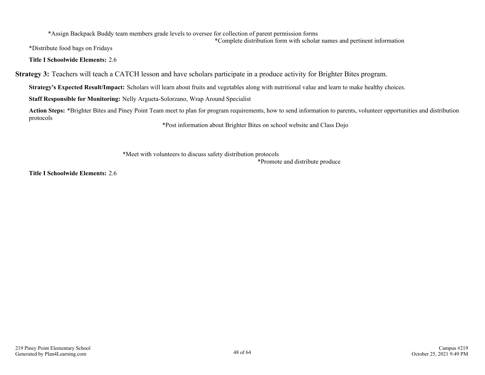\*Assign Backpack Buddy team members grade levels to oversee for collection of parent permission forms

\*Complete distribution form with scholar names and pertinent information

\*Distribute food bags on Fridays

**Title I Schoolwide Elements:** 2.6

**Strategy 3:** Teachers will teach a CATCH lesson and have scholars participate in a produce activity for Brighter Bites program.

**Strategy's Expected Result/Impact:** Scholars will learn about fruits and vegetables along with nutritional value and learn to make healthy choices.

**Staff Responsible for Monitoring:** Nelly Argueta-Solorzano, Wrap Around Specialist

**Action Steps:** \*Brighter Bites and Piney Point Team meet to plan for program requirements, how to send information to parents, volunteer opportunities and distribution protocols

\*Post information about Brighter Bites on school website and Class Dojo

\*Meet with volunteers to discuss safety distribution protocols

\*Promote and distribute produce

**Title I Schoolwide Elements:** 2.6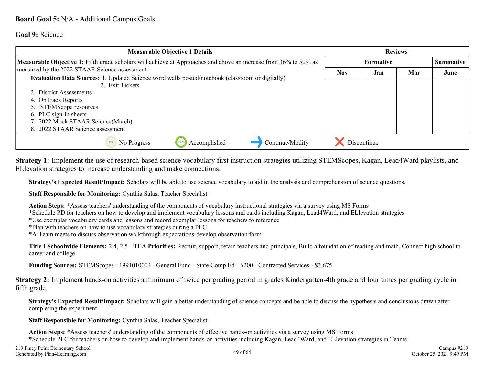#### **Goal 9:** Science

| <b>Measurable Objective 1 Details</b>                                                                                                                                                                                                                                                                  | <b>Reviews</b> |                  |     |      |
|--------------------------------------------------------------------------------------------------------------------------------------------------------------------------------------------------------------------------------------------------------------------------------------------------------|----------------|------------------|-----|------|
| <b>Measurable Objective 1:</b> Fifth grade scholars will achieve at Approaches and above an increase from 36% to 50% as                                                                                                                                                                                |                | <b>Summative</b> |     |      |
| measured by the 2022 STAAR Science assessment.                                                                                                                                                                                                                                                         | <b>Nov</b>     | Jan              | Mar | June |
| <b>Evaluation Data Sources:</b> 1. Updated Science word walls posted/notebook (classroom or digitally)<br>2. Exit Tickets<br>3. District Assessments<br>4. OnTrack Reports<br>5. STEMScope resources<br>6. PLC sign-in sheets<br>7. 2022 Mock STAAR Science(March)<br>8. 2022 STAAR Science assessment |                |                  |     |      |
| Continue/Modify<br>Accomplished<br>100%<br>0%<br>No Progress                                                                                                                                                                                                                                           |                | Discontinue      |     |      |

**Strategy 1:** Implement the use of research-based science vocabulary first instruction strategies utilizing STEMScopes, Kagan, Lead4Ward playlists, and ELlevation strategies to increase understanding and make connections.

**Strategy's Expected Result/Impact:** Scholars will be able to use science vocabulary to aid in the analysis and comprehension of science questions.

**Staff Responsible for Monitoring:** Cynthia Salas, Teacher Specialist

**Action Steps:** \*Assess teachers' understanding of the components of vocabulary instructional strategies via a survey using MS Forms

\*Schedule PD for teachers on how to develop and implement vocabulary lessons and cards including Kagan, Lead4Ward, and ELlevation strategies

\*Use exemplar vocabulary cards and lessons and record exemplar lessons for teachers to reference

\*Plan with teachers on how to use vocabulary strategies during a PLC

\*A-Team meets to discuss observation walkthrough expectations-develop observation form

**Title I Schoolwide Elements:** 2.4, 2.5 - **TEA Priorities:** Recruit, support, retain teachers and principals, Build a foundation of reading and math, Connect high school to career and college

**Funding Sources:** STEMScopes - 1991010004 - General Fund - State Comp Ed - 6200 - Contracted Services - \$3,675

**Strategy 2:** Implement hands-on activities a minimum of twice per grading period in grades Kindergarten-4th grade and four times per grading cycle in fifth grade.

**Strategy's Expected Result/Impact:** Scholars will gain a better understanding of science concepts and be able to discuss the hypothesis and conclusions drawn after completing the experiment.

**Staff Responsible for Monitoring:** Cynthia Salas, Teacher Specialist

**Action Steps:** \*Assess teachers' understanding of the components of effective hands-on activities via a survey using MS Forms \*Schedule PLC for teachers on how to develop and implement hands-on activities including Kagan, Lead4Ward, and ELlevation strategies in Teams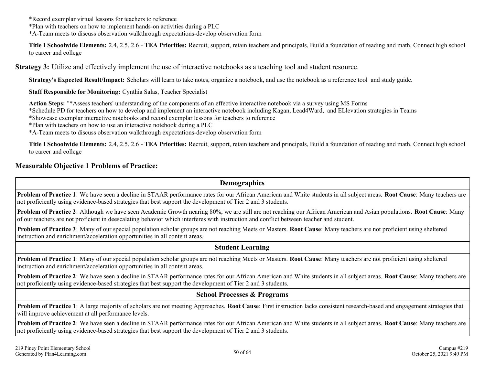\*Record exemplar virtual lessons for teachers to reference

\*Plan with teachers on how to implement hands-on activities during a PLC

\*A-Team meets to discuss observation walkthrough expectations-develop observation form

**Title I Schoolwide Elements:** 2.4, 2.5, 2.6 - **TEA Priorities:** Recruit, support, retain teachers and principals, Build a foundation of reading and math, Connect high school to career and college

**Strategy 3:** Utilize and effectively implement the use of interactive notebooks as a teaching tool and student resource.

**Strategy's Expected Result/Impact:** Scholars will learn to take notes, organize a notebook, and use the notebook as a reference tool and study guide.

**Staff Responsible for Monitoring:** Cynthia Salas, Teacher Specialist

**Action Steps:** "\*Assess teachers' understanding of the components of an effective interactive notebook via a survey using MS Forms

\*Schedule PD for teachers on how to develop and implement an interactive notebook including Kagan, Lead4Ward, and ELlevation strategies in Teams

\*Showcase exemplar interactive notebooks and record exemplar lessons for teachers to reference

\*Plan with teachers on how to use an interactive notebook during a PLC

\*A-Team meets to discuss observation walkthrough expectations-develop observation form

**Title I Schoolwide Elements:** 2.4, 2.5, 2.6 - **TEA Priorities:** Recruit, support, retain teachers and principals, Build a foundation of reading and math, Connect high school to career and college

#### **Measurable Objective 1 Problems of Practice:**

#### **Demographics**

**Problem of Practice 1**: We have seen a decline in STAAR performance rates for our African American and White students in all subject areas. **Root Cause**: Many teachers are not proficiently using evidence-based strategies that best support the development of Tier 2 and 3 students.

**Problem of Practice 2**: Although we have seen Academic Growth nearing 80%, we are still are not reaching our African American and Asian populations. **Root Cause**: Many of our teachers are not proficient in deescalating behavior which interferes with instruction and conflict between teacher and student.

**Problem of Practice 3**: Many of our special population scholar groups are not reaching Meets or Masters. **Root Cause**: Many teachers are not proficient using sheltered instruction and enrichment/acceleration opportunities in all content areas.

#### **Student Learning**

**Problem of Practice 1**: Many of our special population scholar groups are not reaching Meets or Masters. **Root Cause**: Many teachers are not proficient using sheltered instruction and enrichment/acceleration opportunities in all content areas.

**Problem of Practice 2**: We have seen a decline in STAAR performance rates for our African American and White students in all subject areas. **Root Cause**: Many teachers are not proficiently using evidence-based strategies that best support the development of Tier 2 and 3 students.

#### **School Processes & Programs**

**Problem of Practice 1**: A large majority of scholars are not meeting Approaches. **Root Cause**: First instruction lacks consistent research-based and engagement strategies that will improve achievement at all performance levels.

**Problem of Practice 2**: We have seen a decline in STAAR performance rates for our African American and White students in all subject areas. **Root Cause**: Many teachers are not proficiently using evidence-based strategies that best support the development of Tier 2 and 3 students.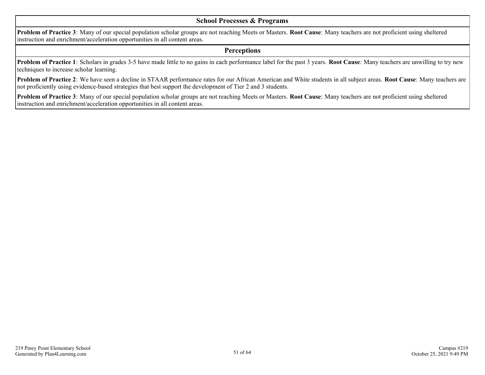#### **School Processes & Programs**

**Problem of Practice 3**: Many of our special population scholar groups are not reaching Meets or Masters. **Root Cause**: Many teachers are not proficient using sheltered instruction and enrichment/acceleration opportunities in all content areas.

#### **Perceptions**

**Problem of Practice 1**: Scholars in grades 3-5 have made little to no gains in each performance label for the past 3 years. **Root Cause**: Many teachers are unwilling to try new techniques to increase scholar learning.

**Problem of Practice 2**: We have seen a decline in STAAR performance rates for our African American and White students in all subject areas. **Root Cause**: Many teachers are not proficiently using evidence-based strategies that best support the development of Tier 2 and 3 students.

**Problem of Practice 3**: Many of our special population scholar groups are not reaching Meets or Masters. **Root Cause**: Many teachers are not proficient using sheltered instruction and enrichment/acceleration opportunities in all content areas.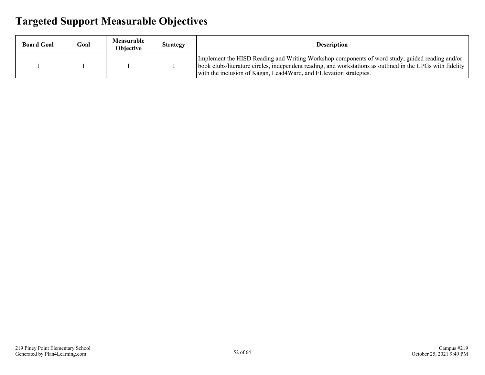## **Targeted Support Measurable Objectives**

| <b>Board Goal</b> | Goal | Measurable<br><b>Objective</b> | <b>Strategy</b> | <b>Description</b>                                                                                                                                                                                                                                                                     |
|-------------------|------|--------------------------------|-----------------|----------------------------------------------------------------------------------------------------------------------------------------------------------------------------------------------------------------------------------------------------------------------------------------|
|                   |      |                                |                 | Implement the HISD Reading and Writing Workshop components of word study, guided reading and/or<br>  book clubs/literature circles, independent reading, and workstations as outlined in the UPGs with fidelity<br>with the inclusion of Kagan, Lead4Ward, and EL levation strategies. |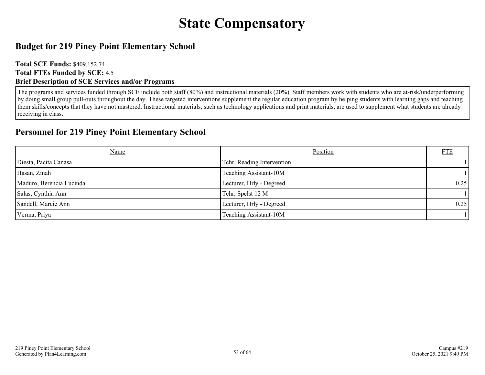## **State Compensatory**

### **Budget for 219 Piney Point Elementary School**

#### **Total SCE Funds:** \$409,152.74 **Total FTEs Funded by SCE:** 4.5 **Brief Description of SCE Services and/or Programs**

The programs and services funded through SCE include both staff (80%) and instructional materials (20%). Staff members work with students who are at-risk/underperforming by doing small group pull-outs throughout the day. These targeted interventions supplement the regular education program by helping students with learning gaps and teaching them skills/concepts that they have not mastered. Instructional materials, such as technology applications and print materials, are used to supplement what students are already receiving in class.

#### **Personnel for 219 Piney Point Elementary School**

| Name                     | Position                   | <b>FTE</b> |
|--------------------------|----------------------------|------------|
| Diesta, Pacita Canasa    | Tchr, Reading Intervention |            |
| Hasan, Zinah             | Teaching Assistant-10M     |            |
| Maduro, Berencia Lucinda | Lecturer, Hrly - Degreed   | 0.25       |
| Salas, Cynthia Ann       | Tchr, Spelst 12 M          |            |
| Sandell, Marcie Ann      | Lecturer, Hrly - Degreed   | 0.25       |
| Verma, Priya             | Teaching Assistant-10M     |            |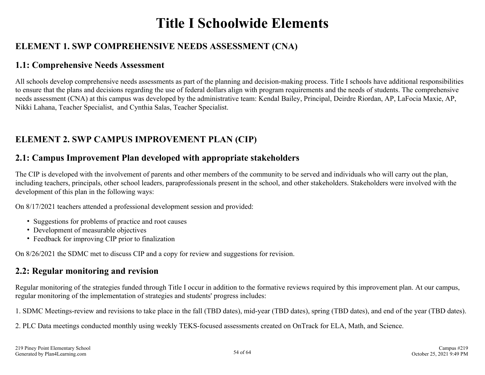## **Title I Schoolwide Elements**

## **ELEMENT 1. SWP COMPREHENSIVE NEEDS ASSESSMENT (CNA)**

### **1.1: Comprehensive Needs Assessment**

All schools develop comprehensive needs assessments as part of the planning and decision-making process. Title I schools have additional responsibilities to ensure that the plans and decisions regarding the use of federal dollars align with program requirements and the needs of students. The comprehensive needs assessment (CNA) at this campus was developed by the administrative team: Kendal Bailey, Principal, Deirdre Riordan, AP, LaFocia Maxie, AP, Nikki Lahana, Teacher Specialist, and Cynthia Salas, Teacher Specialist.

## **ELEMENT 2. SWP CAMPUS IMPROVEMENT PLAN (CIP)**

### **2.1: Campus Improvement Plan developed with appropriate stakeholders**

The CIP is developed with the involvement of parents and other members of the community to be served and individuals who will carry out the plan, including teachers, principals, other school leaders, paraprofessionals present in the school, and other stakeholders. Stakeholders were involved with the development of this plan in the following ways:

On 8/17/2021 teachers attended a professional development session and provided:

- Suggestions for problems of practice and root causes
- Development of measurable objectives
- Feedback for improving CIP prior to finalization

On 8/26/2021 the SDMC met to discuss CIP and a copy for review and suggestions for revision.

### **2.2: Regular monitoring and revision**

Regular monitoring of the strategies funded through Title I occur in addition to the formative reviews required by this improvement plan. At our campus, regular monitoring of the implementation of strategies and students' progress includes:

1. SDMC Meetings-review and revisions to take place in the fall (TBD dates), mid-year (TBD dates), spring (TBD dates), and end of the year (TBD dates).

2. PLC Data meetings conducted monthly using weekly TEKS-focused assessments created on OnTrack for ELA, Math, and Science.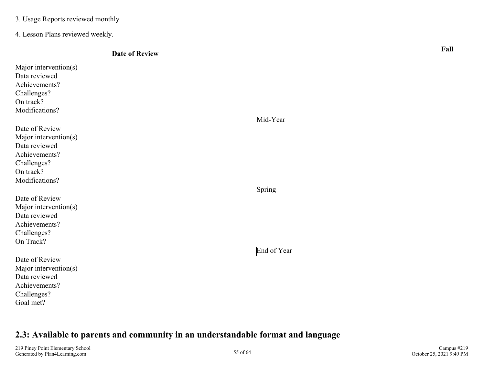3. Usage Reports reviewed monthly

4. Lesson Plans reviewed weekly.

## **Date of Review Fall**

| Major intervention(s)<br>Data reviewed |             |
|----------------------------------------|-------------|
| Achievements?                          |             |
| Challenges?                            |             |
| On track?                              |             |
| Modifications?                         |             |
|                                        | Mid-Year    |
| Date of Review                         |             |
| Major intervention(s)                  |             |
| Data reviewed                          |             |
| Achievements?                          |             |
| Challenges?                            |             |
| On track?                              |             |
| Modifications?                         |             |
|                                        | Spring      |
| Date of Review                         |             |
| Major intervention(s)                  |             |
| Data reviewed                          |             |
| Achievements?                          |             |
| Challenges?                            |             |
| On Track?                              |             |
|                                        | End of Year |
| Date of Review                         |             |
| Major intervention(s)                  |             |
| Data reviewed                          |             |
| Achievements?                          |             |
| Challenges?                            |             |
| Goal met?                              |             |

### **2.3: Available to parents and community in an understandable format and language**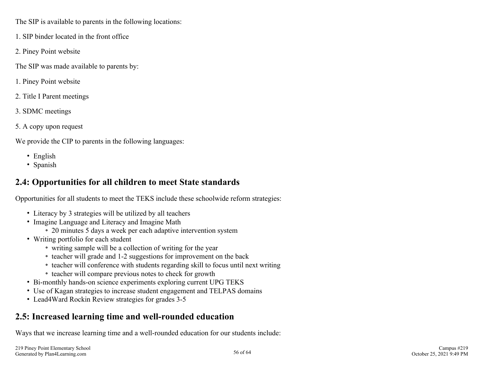The SIP is available to parents in the following locations:

- 1. SIP binder located in the front office
- 2. Piney Point website
- The SIP was made available to parents by:
- 1. Piney Point website
- 2. Title I Parent meetings
- 3. SDMC meetings
- 5. A copy upon request

We provide the CIP to parents in the following languages:

- English
- Spanish

## **2.4: Opportunities for all children to meet State standards**

Opportunities for all students to meet the TEKS include these schoolwide reform strategies:

- Literacy by 3 strategies will be utilized by all teachers
- Imagine Language and Literacy and Imagine Math
	- 20 minutes 5 days a week per each adaptive intervention system
- Writing portfolio for each student
	- writing sample will be a collection of writing for the year
	- teacher will grade and 1-2 suggestions for improvement on the back
	- teacher will conference with students regarding skill to focus until next writing
	- teacher will compare previous notes to check for growth
- Bi-monthly hands-on science experiments exploring current UPG TEKS
- Use of Kagan strategies to increase student engagement and TELPAS domains
- Lead4Ward Rockin Review strategies for grades 3-5

## **2.5: Increased learning time and well-rounded education**

Ways that we increase learning time and a well-rounded education for our students include: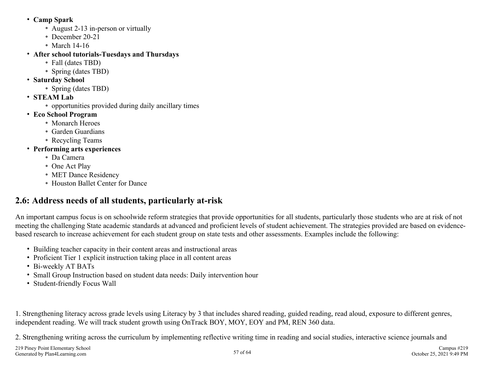- **Camp Spark**
	- August 2-13 in-person or virtually
	- December 20-21
	- March 14-16
- **After school tutorials-Tuesdays and Thursdays**
	- Fall (dates TBD)
	- Spring (dates TBD)
- **Saturday School** 
	- Spring (dates TBD)
- **STEAM Lab**
	- opportunities provided during daily ancillary times
- **Eco School Program**
	- Monarch Heroes
	- Garden Guardians
	- Recycling Teams
- **Performing arts experiences**
	- Da Camera
	- One Act Play
	- MET Dance Residency
	- Houston Ballet Center for Dance

## **2.6: Address needs of all students, particularly at-risk**

An important campus focus is on schoolwide reform strategies that provide opportunities for all students, particularly those students who are at risk of not meeting the challenging State academic standards at advanced and proficient levels of student achievement. The strategies provided are based on evidencebased research to increase achievement for each student group on state tests and other assessments. Examples include the following:

- Building teacher capacity in their content areas and instructional areas
- Proficient Tier 1 explicit instruction taking place in all content areas
- Bi-weekly AT BATs
- Small Group Instruction based on student data needs: Daily intervention hour
- Student-friendly Focus Wall

1. Strengthening literacy across grade levels using Literacy by 3 that includes shared reading, guided reading, read aloud, exposure to different genres, independent reading. We will track student growth using OnTrack BOY, MOY, EOY and PM, REN 360 data.

2. Strengthening writing across the curriculum by implementing reflective writing time in reading and social studies, interactive science journals and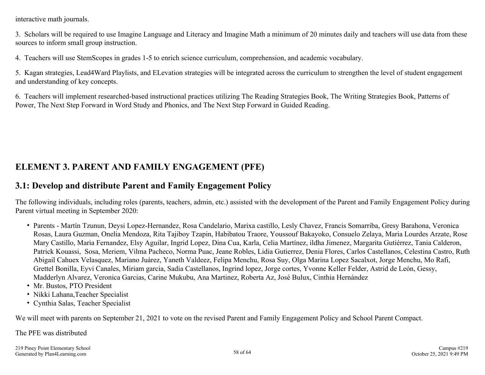interactive math journals.

3. Scholars will be required to use Imagine Language and Literacy and Imagine Math a minimum of 20 minutes daily and teachers will use data from these sources to inform small group instruction.

4. Teachers will use StemScopes in grades 1-5 to enrich science curriculum, comprehension, and academic vocabulary.

5. Kagan strategies, Lead4Ward Playlists, and ELevation strategies will be integrated across the curriculum to strengthen the level of student engagement and understanding of key concepts.

6. Teachers will implement researched-based instructional practices utilizing The Reading Strategies Book, The Writing Strategies Book, Patterns of Power, The Next Step Forward in Word Study and Phonics, and The Next Step Forward in Guided Reading.

### **ELEMENT 3. PARENT AND FAMILY ENGAGEMENT (PFE)**

### **3.1: Develop and distribute Parent and Family Engagement Policy**

The following individuals, including roles (parents, teachers, admin, etc.) assisted with the development of the Parent and Family Engagement Policy during Parent virtual meeting in September 2020:

- Parents Martín Tzunun, Deysi Lopez-Hernandez, Rosa Candelario, Marixa castillo, Lesly Chavez, Francis Somarriba, Gresy Barahona, Veronica Rosas, Laura Guzman, Onelia Mendoza, Rita Tajiboy Tzapin, Habibatou Traore, Youssouf Bakayoko, Consuelo Zelaya, Maria Lourdes Arzate, Rose Mary Castillo, Maria Fernandez, Elsy Aguilar, Ingrid Lopez, Dina Cua, Karla, Celia Martínez, ildha Jimenez, Margarita Gutiérrez, Tania Calderon, Patrick Kouassi, Sosa, Meriem, Vilma Pacheco, Norma Puac, Jeane Robles, Lidia Gutierrez, Denia Flores, Carlos Castellanos, Celestina Castro, Ruth Abigail Cahuex Velasquez, Mariano Juárez, Yaneth Valdeez, Felipa Menchu, Rosa Suy, Olga Marina Lopez Sacalxot, Jorge Menchu, Mo Rafi, Grettel Bonilla, Eyvi Canales, Miriam garcia, Sadia Castellanos, Ingrind lopez, Jorge cortes, Yvonne Keller Felder, Astrid de León, Gessy, Madderlyn Alvarez, Veronica Garcias, Carine Mukubu, Ana Martinez, Roberta Az, José Bulux, Cinthia Hernández
- Mr. Bustos, PTO President
- Nikki Lahana,Teacher Specialist
- Cynthia Salas, Teacher Specialist

We will meet with parents on September 21, 2021 to vote on the revised Parent and Family Engagement Policy and School Parent Compact.

The PFE was distributed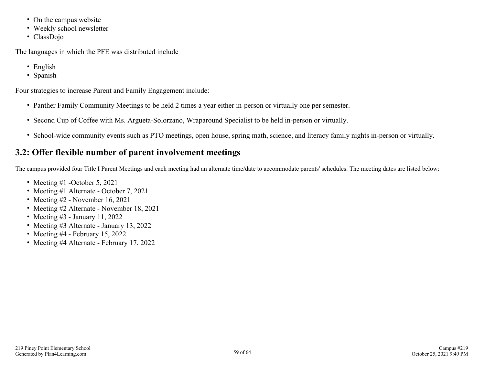- On the campus website
- Weekly school newsletter
- ClassDojo

The languages in which the PFE was distributed include

- English
- Spanish

Four strategies to increase Parent and Family Engagement include:

- Panther Family Community Meetings to be held 2 times a year either in-person or virtually one per semester.
- Second Cup of Coffee with Ms. Argueta-Solorzano, Wraparound Specialist to be held in-person or virtually.
- School-wide community events such as PTO meetings, open house, spring math, science, and literacy family nights in-person or virtually.

## **3.2: Offer flexible number of parent involvement meetings**

The campus provided four Title I Parent Meetings and each meeting had an alternate time/date to accommodate parents' schedules. The meeting dates are listed below:

- Meeting #1 -October 5, 2021
- Meeting #1 Alternate October 7, 2021
- Meeting  $#2$  November 16, 2021
- Meeting #2 Alternate November 18, 2021
- Meeting #3 January 11, 2022
- Meeting #3 Alternate January 13, 2022
- Meeting  $#4$  February 15, 2022
- Meeting #4 Alternate February 17, 2022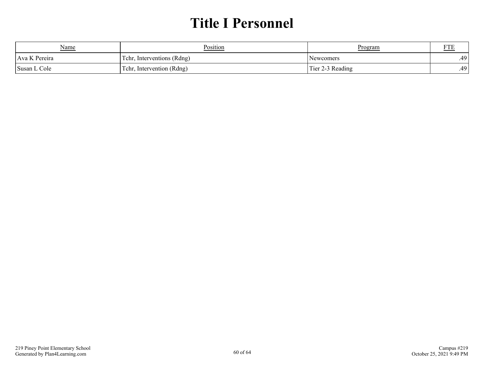## **Title I Personnel**

| Name          | Position                       | <b>Program</b>                   | ----<br>$\sim$ 1 E |
|---------------|--------------------------------|----------------------------------|--------------------|
| Ava K Pereira | Interventions (Rdng)<br>l'chr. | Newcomers                        | .49                |
| Susan L Cole  | Intervention (Rdng)<br>Tchr.   | Tier 2-3 Reading<br>$\mathbf{r}$ | .49                |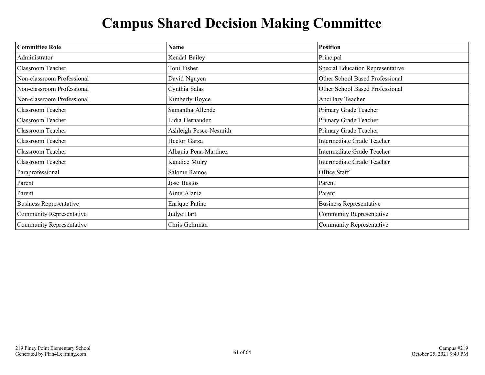## **Campus Shared Decision Making Committee**

| <b>Committee Role</b>          | <b>Name</b>            | <b>Position</b>                  |
|--------------------------------|------------------------|----------------------------------|
| Administrator                  | Kendal Bailey          | Principal                        |
| Classroom Teacher              | Toni Fisher            | Special Education Representative |
| Non-classroom Professional     | David Nguyen           | Other School Based Professional  |
| Non-classroom Professional     | Cynthia Salas          | Other School Based Professional  |
| Non-classroom Professional     | Kimberly Boyce         | Ancillary Teacher                |
| Classroom Teacher              | Samantha Allende       | Primary Grade Teacher            |
| Classroom Teacher              | Lidia Hernandez        | Primary Grade Teacher            |
| Classroom Teacher              | Ashleigh Pesce-Nesmith | Primary Grade Teacher            |
| <b>Classroom Teacher</b>       | Hector Garza           | Intermediate Grade Teacher       |
| Classroom Teacher              | Albania Pena-Martinez  | Intermediate Grade Teacher       |
| Classroom Teacher              | Kandice Mulry          | Intermediate Grade Teacher       |
| Paraprofessional               | Salome Ramos           | Office Staff                     |
| Parent                         | Jose Bustos            | Parent                           |
| Parent                         | Aime Alaniz            | Parent                           |
| <b>Business Representative</b> | Enrique Patino         | <b>Business Representative</b>   |
| Community Representative       | Judye Hart             | Community Representative         |
| Community Representative       | Chris Gehrman          | Community Representative         |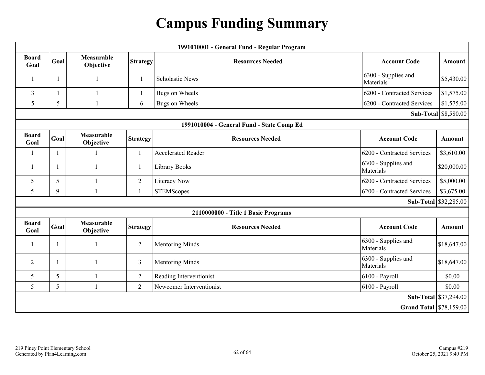## **Campus Funding Summary**

|                      |      |                                |                 | 1991010001 - General Fund - Regular Program |                                  |                              |
|----------------------|------|--------------------------------|-----------------|---------------------------------------------|----------------------------------|------------------------------|
| <b>Board</b><br>Goal | Goal | <b>Measurable</b><br>Objective | <b>Strategy</b> | <b>Resources Needed</b>                     | <b>Account Code</b>              | <b>Amount</b>                |
| 1                    | 1    | $\mathbf{1}$                   | 1               | <b>Scholastic News</b>                      | 6300 - Supplies and<br>Materials | \$5,430.00                   |
| 3                    | 1    | $\mathbf{1}$                   |                 | Bugs on Wheels                              | 6200 - Contracted Services       | \$1,575.00                   |
| 5                    | 5    |                                | 6               | Bugs on Wheels                              | 6200 - Contracted Services       | \$1,575.00                   |
|                      |      |                                |                 |                                             |                                  | <b>Sub-Total</b> \\$8,580.00 |
|                      |      |                                |                 | 1991010004 - General Fund - State Comp Ed   |                                  |                              |
| <b>Board</b><br>Goal | Goal | Measurable<br>Objective        | <b>Strategy</b> | <b>Resources Needed</b>                     | <b>Account Code</b>              | Amount                       |
| 1                    |      |                                | 1               | <b>Accelerated Reader</b>                   | 6200 - Contracted Services       | \$3,610.00                   |
|                      |      |                                | $\mathbf{1}$    | Library Books                               | 6300 - Supplies and<br>Materials | \$20,000.00                  |
| 5                    | 5    |                                | $\overline{2}$  | Literacy Now                                | 6200 - Contracted Services       | \$5,000.00                   |
| 5                    | 9    |                                |                 | <b>STEMScopes</b>                           | 6200 - Contracted Services       | \$3,675.00                   |
|                      |      |                                |                 |                                             |                                  | Sub-Total \$32,285.00        |
|                      |      |                                |                 | 2110000000 - Title 1 Basic Programs         |                                  |                              |
| <b>Board</b><br>Goal | Goal | Measurable<br>Objective        | <b>Strategy</b> | <b>Resources Needed</b>                     | <b>Account Code</b>              | Amount                       |
|                      | -1   |                                | $\overline{2}$  | <b>Mentoring Minds</b>                      | 6300 - Supplies and<br>Materials | \$18,647.00                  |
| 2                    |      |                                | 3               | Mentoring Minds                             | 6300 - Supplies and<br>Materials | \$18,647.00                  |
| 5                    | 5    |                                | $\overline{2}$  | Reading Interventionist                     | 6100 - Payroll                   | \$0.00                       |
| 5                    | 5    |                                | $\overline{2}$  | Newcomer Interventionist                    | 6100 - Payroll                   | \$0.00                       |
|                      |      |                                |                 | <b>Sub-Total</b> \\$37,294.00               |                                  |                              |
|                      |      |                                |                 |                                             | <b>Grand Total \\$78,159.00</b>  |                              |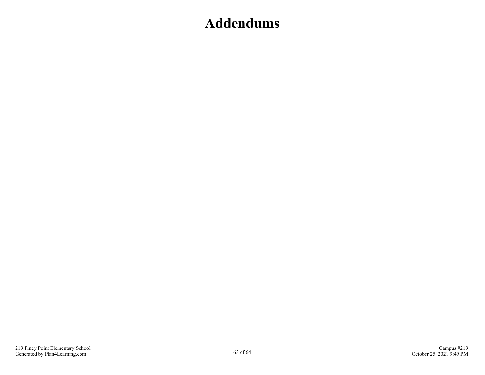## **Addendums**